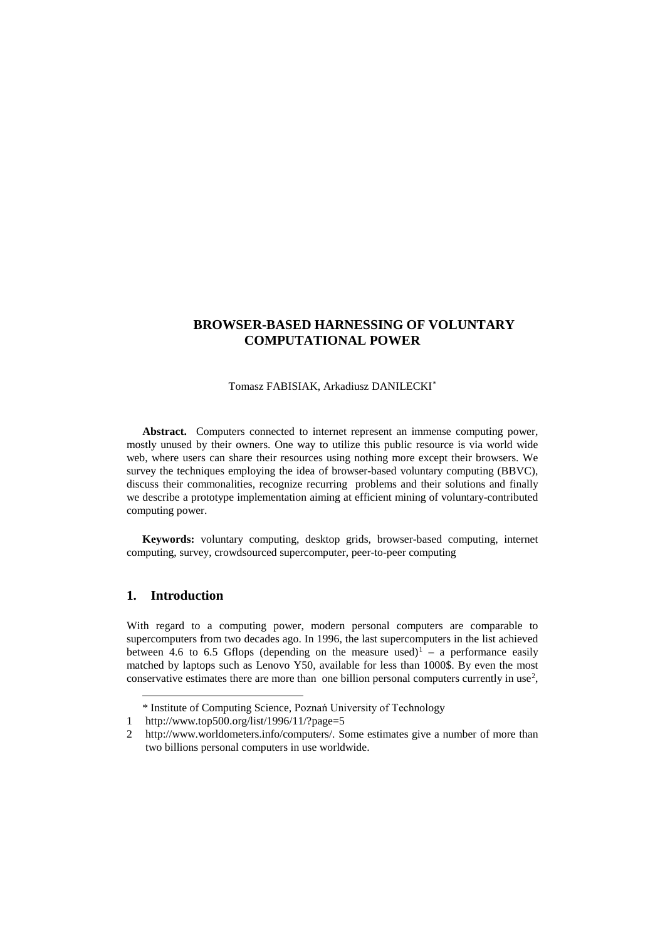FOUNDATIONS OF COMPUTING AND DECISION SCIENCES Vol. 42 (2017) No. 1



**DE GRUYTER** 

OPEN

DOI: 10.1515/fcds-2017-0001

ISSN 0867-6356 e-ISSN 2300-3405

# **BROWSER-BASED HARNESSING OF VOLUNTARY COMPUTATIONAL POWER**

Tomasz FABISIAK, Arkadiusz DANILECKI[\\*](#page-0-0)

Abstract. Computers connected to internet represent an immense computing power, mostly unused by their owners. One way to utilize this public resource is via world wide web, where users can share their resources using nothing more except their browsers. We survey the techniques employing the idea of browser-based voluntary computing (BBVC), discuss their commonalities, recognize recurring problems and their solutions and finally we describe a prototype implementation aiming at efficient mining of voluntary-contributed computing power.

**Keywords:** voluntary computing, desktop grids, browser-based computing, internet computing, survey, crowdsourced supercomputer, peer-to-peer computing

# **1. Introduction**

With regard to a computing power, modern personal computers are comparable to supercomputers from two decades ago. In 1996, the last supercomputers in the list achieved between 4.6 to 6.5 Gflops (depending on the measure used)<sup>[1](#page-0-1)</sup> – a performance easily matched by laptops such as Lenovo Y50, available for less than 1000\$. By even the most conservative estimates there are more than one billion personal computers currently in use<sup>[2](#page-0-2)</sup>,

<sup>\*</sup> Institute of Computing Science, Poznań University of Technology

<span id="page-0-0"></span><sup>1</sup> http://www.top500.org/list/1996/11/?page=5

<span id="page-0-2"></span><span id="page-0-1"></span><sup>2</sup> http://www.worldometers.info/computers/. Some estimates give a number of more than two billions personal computers in use worldwide.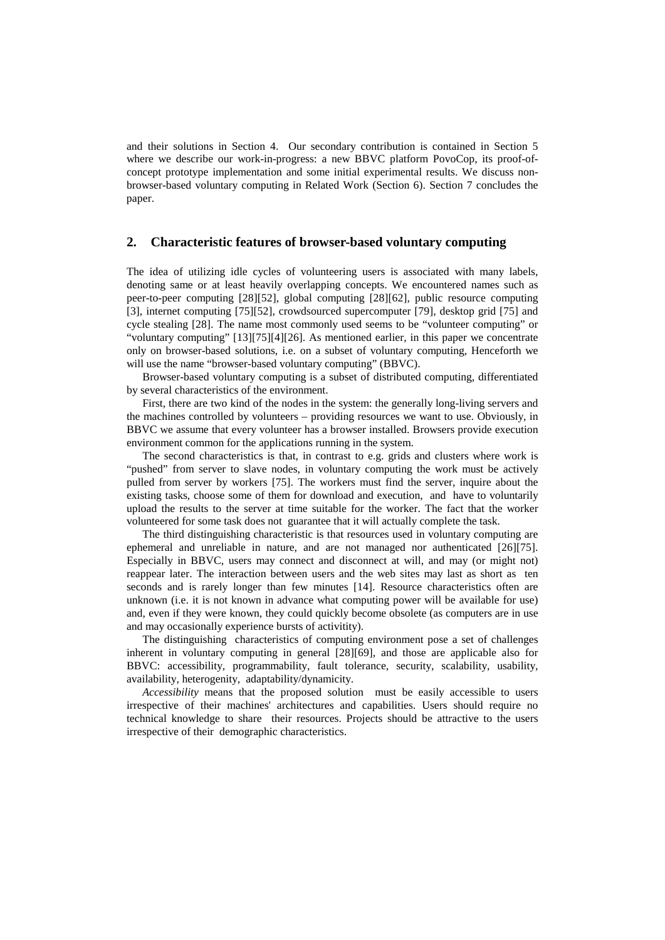and their solutions in Section [4.](#page-16-0) Our secondary contribution is contained in Section [5](#page-23-0)  where we describe our work-in-progress: a new BBVC platform PovoCop, its proof-ofconcept prototype implementation and some initial experimental results. We discuss nonbrowser-based voluntary computing in Related Work (Section [6\)](#page-30-0). Section [7](#page-32-0) concludes the paper.

# <span id="page-2-0"></span>**2. Characteristic features of browser-based voluntary computing**

The idea of utilizing idle cycles of volunteering users is associated with many labels, denoting same or at least heavily overlapping concepts. We encountered names such as peer-to-peer computing [\[28\]\[52\],](#page-35-0) global computing [\[28\]\[62\],](#page-35-0) public resource computing [\[3\],](#page-33-0) internet computing [\[75\]\[52\],](#page-38-0) crowdsourced supercomputer [\[79\],](#page-38-1) desktop grid [\[75\]](#page-38-0) and cycle stealing [\[28\].](#page-35-0) The name most commonly used seems to be "volunteer computing" or "voluntary computing" [\[13\]\[75\]](#page-34-0)[\[4\]\[26\].](#page-33-1) As mentioned earlier, in this paper we concentrate only on browser-based solutions, i.e. on a subset of voluntary computing, Henceforth we will use the name "browser-based voluntary computing" (BBVC).

Browser-based voluntary computing is a subset of distributed computing, differentiated by several characteristics of the environment.

First, there are two kind of the nodes in the system: the generally long-living servers and the machines controlled by volunteers – providing resources we want to use. Obviously, in BBVC we assume that every volunteer has a browser installed. Browsers provide execution environment common for the applications running in the system.

The second characteristics is that, in contrast to e.g. grids and clusters where work is "pushed" from server to slave nodes, in voluntary computing the work must be actively pulled from server by workers [\[75\].](#page-38-0) The workers must find the server, inquire about the existing tasks, choose some of them for download and execution, and have to voluntarily upload the results to the server at time suitable for the worker. The fact that the worker volunteered for some task does not guarantee that it will actually complete the task.

The third distinguishing characteristic is that resources used in voluntary computing are ephemeral and unreliable in nature, and are not managed nor authenticated [\[26\]\[75\].](#page-35-1)  Especially in BBVC, users may connect and disconnect at will, and may (or might not) reappear later. The interaction between users and the web sites may last as short as ten seconds and is rarely longer than few minutes [\[14\].](#page-34-1) Resource characteristics often are unknown (i.e. it is not known in advance what computing power will be available for use) and, even if they were known, they could quickly become obsolete (as computers are in use and may occasionally experience bursts of activitity).

The distinguishing characteristics of computing environment pose a set of challenges inherent in voluntary computing in general [\[28\]\[69\],](#page-35-0) and those are applicable also for BBVC: accessibility, programmability, fault tolerance, security, scalability, usability, availability, heterogenity, adaptability/dynamicity.

*Accessibility* means that the proposed solution must be easily accessible to users irrespective of their machines' architectures and capabilities. Users should require no technical knowledge to share their resources. Projects should be attractive to the users irrespective of their demographic characteristics.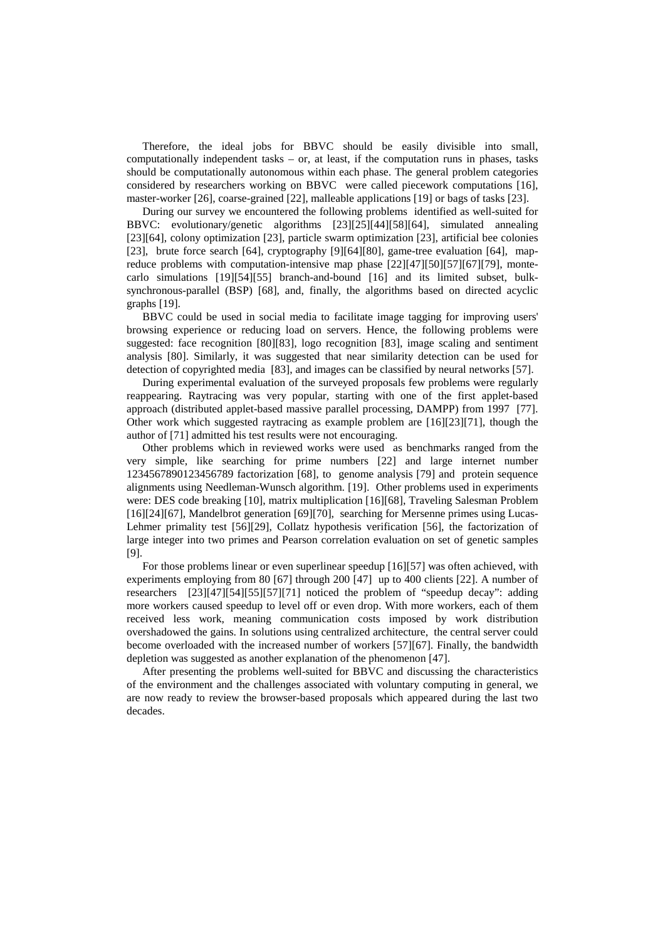Therefore, the ideal jobs for BBVC should be easily divisible into small, computationally independent tasks – or, at least, if the computation runs in phases, tasks should be computationally autonomous within each phase. The general problem categories considered by researchers working on BBVC were called piecework computations [\[16\],](#page-34-2)  master-worke[r \[26\],](#page-35-1) coarse-graine[d \[22\],](#page-35-2) malleable applications [\[19\]](#page-34-3) or bags of task[s \[23\].](#page-35-3) 

During our survey we encountered the following problems identified as well-suited for BBVC: evolutionary/genetic algorithms [\[23\]\[25\]](#page-35-3)[\[44\]\[58\]](#page-36-0)[\[64\],](#page-37-0) simulated annealing [\[23\]\[64\],](#page-35-3) colony optimization [\[23\],](#page-35-3) particle swarm optimization [\[23\],](#page-35-3) artificial bee colonies [\[23\],](#page-35-3) brute force search [\[64\],](#page-37-0) cryptography [\[9\]\[64\]](#page-34-4)[\[80\],](#page-38-2) game-tree evaluation [\[64\],](#page-37-0) mapreduce problems with computation-intensive map phase [\[22\]\[47\]](#page-35-2)[\[50\]\[57\]](#page-36-1)[\[67\]\[79\],](#page-38-3) montecarlo simulations [\[19\]\[54\]](#page-34-3)[\[55\]](#page-37-1) branch-and-bound [\[16\]](#page-34-2) and its limited subset, bulksynchronous-parallel (BSP) [\[68\],](#page-38-4) and, finally, the algorithms based on directed acyclic graphs [\[19\].](#page-34-3)

BBVC could be used in social media to facilitate image tagging for improving users' browsing experience or reducing load on servers. Hence, the following problems were suggested: face recognition [\[80\]\[83\],](#page-38-2) logo recognition [\[83\],](#page-39-0) image scaling and sentiment analysis [\[80\].](#page-38-2) Similarly, it was suggested that near similarity detection can be used for detection of copyrighted media [\[83\],](#page-39-0) and images can be classified by neural network[s \[57\].](#page-37-2)

During experimental evaluation of the surveyed proposals few problems were regularly reappearing. Raytracing was very popular, starting with one of the first applet-based approach (distributed applet-based massive parallel processing, DAMPP) from 1997 [\[77\].](#page-38-5)  Other work which suggested raytracing as example problem are [\[16\]\[23\]](#page-34-2)[\[71\],](#page-38-6) though the author of [\[71\]](#page-38-6) admitted his test results were not encouraging.

Other problems which in reviewed works were used as benchmarks ranged from the very simple, like searching for prime numbers [\[22\]](#page-35-2) and large internet number 1234567890123456789 factorization [\[68\],](#page-38-4) to genome analysis [\[79\]](#page-38-1) and protein sequence alignments using Needleman-Wunsch algorithm. [\[19\].](#page-34-3) Other problems used in experiments were: DES code breakin[g \[10\],](#page-34-5) matrix multiplication [\[16\]\[68\],](#page-34-2) Traveling Salesman Problem [\[16\]\[24\]](#page-34-2)[\[67\],](#page-38-3) Mandelbrot generation [\[69\]\[70\],](#page-38-7) searching for Mersenne primes using Lucas-Lehmer primality test [\[56\]\[29\],](#page-37-3) Collatz hypothesis verification [\[56\],](#page-37-3) the factorization of large integer into two primes and Pearson correlation evaluation on set of genetic samples [\[9\].](#page-34-4)

For those problems linear or even superlinear speedup [\[16\]\[57\]](#page-34-2) was often achieved, with experiments employing from 80 [\[67\]](#page-38-3) through 200 [\[47\]](#page-36-2) up to 400 clients [\[22\].](#page-35-2) A number of researchers [\[23\]\[47\]](#page-35-3)[\[54\]\[55\]](#page-37-4)[\[57\]\[71\]](#page-37-2) noticed the problem of "speedup decay": adding more workers caused speedup to level off or even drop. With more workers, each of them received less work, meaning communication costs imposed by work distribution overshadowed the gains. In solutions using centralized architecture, the central server could become overloaded with the increased number of workers [\[57\]\[67\].](#page-37-2) Finally, the bandwidth depletion was suggested as another explanation of the phenomenon [\[47\].](#page-36-2)

After presenting the problems well-suited for BBVC and discussing the characteristics of the environment and the challenges associated with voluntary computing in general, we are now ready to review the browser-based proposals which appeared during the last two decades.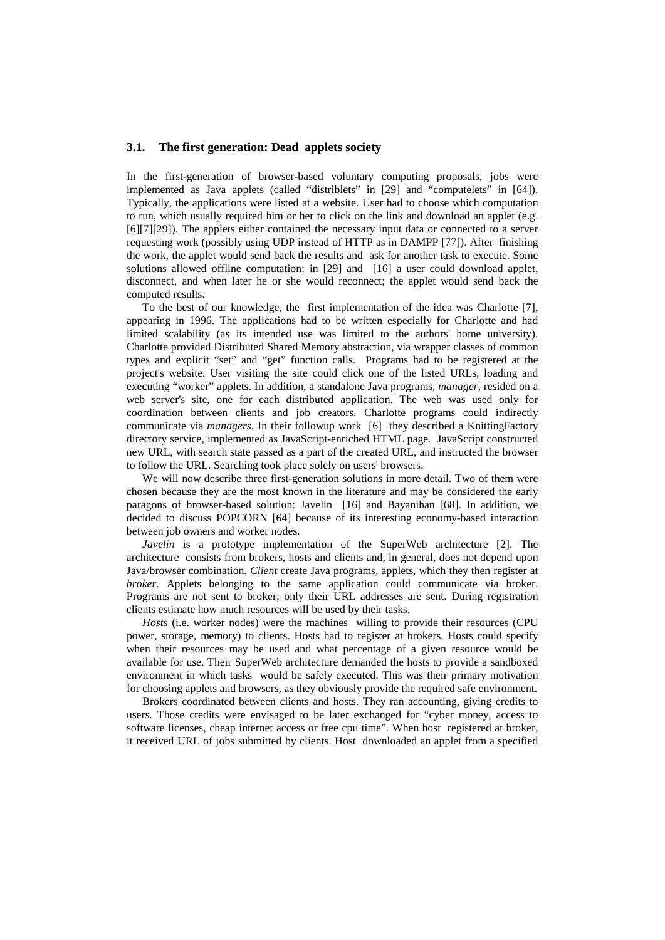### **3.1. The first generation: Dead applets society**

In the first-generation of browser-based voluntary computing proposals, jobs were implemented as Java applets (called "distriblets" in [\[29\]](#page-35-4) and "computelets" in [\[64\]\)](#page-37-0). Typically, the applications were listed at a website. User had to choose which computation to run, which usually required him or her to click on the link and download an applet (e.g. [\[6\]\[7\]](#page-33-2)[\[29\]\)](#page-35-4). The applets either contained the necessary input data or connected to a server requesting work (possibly using UDP instead of HTTP as in DAMPP [\[77\]\)](#page-38-5). After finishing the work, the applet would send back the results and ask for another task to execute. Some solutions allowed offline computation: in [\[29\]](#page-35-4) and [\[16\]](#page-34-2) a user could download applet, disconnect, and when later he or she would reconnect; the applet would send back the computed results.

To the best of our knowledge, the first implementation of the idea was Charlotte [\[7\],](#page-33-3)  appearing in 1996. The applications had to be written especially for Charlotte and had limited scalability (as its intended use was limited to the authors' home university). Charlotte provided Distributed Shared Memory abstraction, via wrapper classes of common types and explicit "set" and "get" function calls. Programs had to be registered at the project's website. User visiting the site could click one of the listed URLs, loading and executing "worker" applets. In addition, a standalone Java programs, *manager*, resided on a web server's site, one for each distributed application. The web was used only for coordination between clients and job creators. Charlotte programs could indirectly communicate via *managers*. In their followup work [\[6\]](#page-33-2) they described a KnittingFactory directory service, implemented as JavaScript-enriched HTML page. JavaScript constructed new URL, with search state passed as a part of the created URL, and instructed the browser to follow the URL. Searching took place solely on users' browsers.

We will now describe three first-generation solutions in more detail. Two of them were chosen because they are the most known in the literature and may be considered the early paragons of browser-based solution: Javelin [\[16\]](#page-34-2) and Bayanihan [\[68\].](#page-38-4) In addition, we decided to discuss POPCORN [\[64\]](#page-37-0) because of its interesting economy-based interaction between job owners and worker nodes.

*Javelin* is a prototype implementation of the SuperWeb architecture [\[2\].](#page-33-4) The architecture consists from brokers, hosts and clients and, in general, does not depend upon Java/browser combination. *Client* create Java programs, applets, which they then register at *broker*. Applets belonging to the same application could communicate via broker. Programs are not sent to broker; only their URL addresses are sent. During registration clients estimate how much resources will be used by their tasks.

*Hosts* (i.e. worker nodes) were the machines willing to provide their resources (CPU power, storage, memory) to clients. Hosts had to register at brokers. Hosts could specify when their resources may be used and what percentage of a given resource would be available for use. Their SuperWeb architecture demanded the hosts to provide a sandboxed environment in which tasks would be safely executed. This was their primary motivation for choosing applets and browsers, as they obviously provide the required safe environment.

Brokers coordinated between clients and hosts. They ran accounting, giving credits to users. Those credits were envisaged to be later exchanged for "cyber money, access to software licenses, cheap internet access or free cpu time". When host registered at broker, it received URL of jobs submitted by clients. Host downloaded an applet from a specified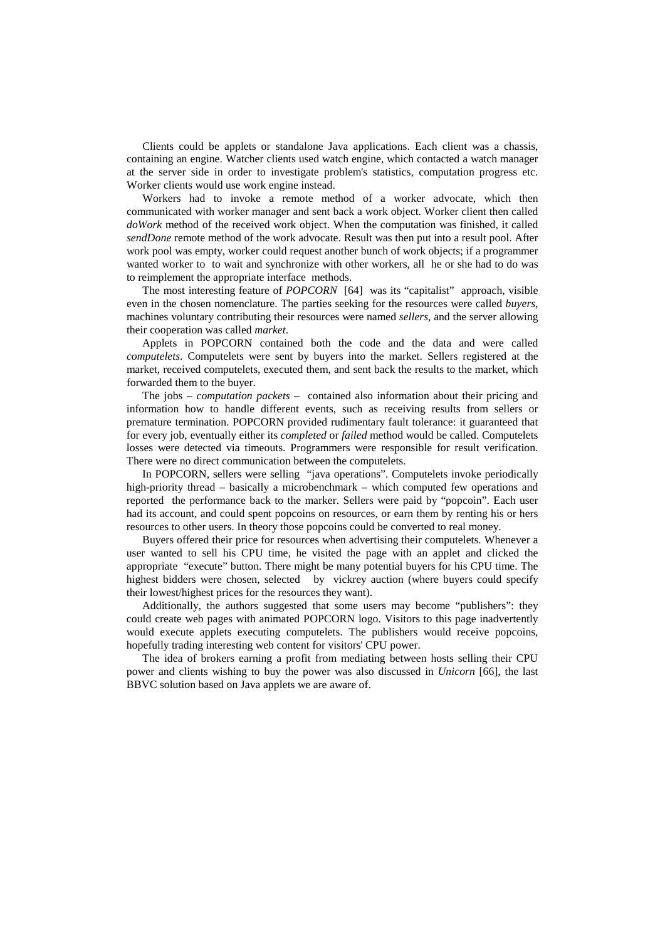Clients could be applets or standalone Java applications. Each client was a chassis, containing an engine. Watcher clients used watch engine, which contacted a watch manager at the server side in order to investigate problem's statistics, computation progress etc. Worker clients would use work engine instead.

Workers had to invoke a remote method of a worker advocate, which then communicated with worker manager and sent back a work object. Worker client then called *doWork* method of the received work object. When the computation was finished, it called *sendDone* remote method of the work advocate. Result was then put into a result pool. After work pool was empty, worker could request another bunch of work objects; if a programmer wanted worker to to wait and synchronize with other workers, all he or she had to do was to reimplement the appropriate interface methods.

The most interesting feature of *POPCORN* [\[64\]](#page-37-0) was its "capitalist" approach, visible even in the chosen nomenclature. The parties seeking for the resources were called *buyers*, machines voluntary contributing their resources were named *sellers*, and the server allowing their cooperation was called *market*.

Applets in POPCORN contained both the code and the data and were called *computelets*. Computelets were sent by buyers into the market. Sellers registered at the market, received computelets, executed them, and sent back the results to the market, which forwarded them to the buyer.

The jobs – *computation packets* – contained also information about their pricing and information how to handle different events, such as receiving results from sellers or premature termination. POPCORN provided rudimentary fault tolerance: it guaranteed that for every job, eventually either its *completed* or *failed* method would be called. Computelets losses were detected via timeouts. Programmers were responsible for result verification. There were no direct communication between the computelets.

In POPCORN, sellers were selling "java operations". Computelets invoke periodically high-priority thread – basically a microbenchmark – which computed few operations and reported the performance back to the marker. Sellers were paid by "popcoin". Each user had its account, and could spent popcoins on resources, or earn them by renting his or hers resources to other users. In theory those popcoins could be converted to real money.

Buyers offered their price for resources when advertising their computelets. Whenever a user wanted to sell his CPU time, he visited the page with an applet and clicked the appropriate "execute" button. There might be many potential buyers for his CPU time. The highest bidders were chosen, selected by vickrey auction (where buyers could specify their lowest/highest prices for the resources they want).

Additionally, the authors suggested that some users may become "publishers": they could create web pages with animated POPCORN logo. Visitors to this page inadvertently would execute applets executing computelets. The publishers would receive popcoins, hopefully trading interesting web content for visitors' CPU power.

The idea of brokers earning a profit from mediating between hosts selling their CPU power and clients wishing to buy the power was also discussed in *Unicorn* [\[66\],](#page-37-5) the last BBVC solution based on Java applets we are aware of.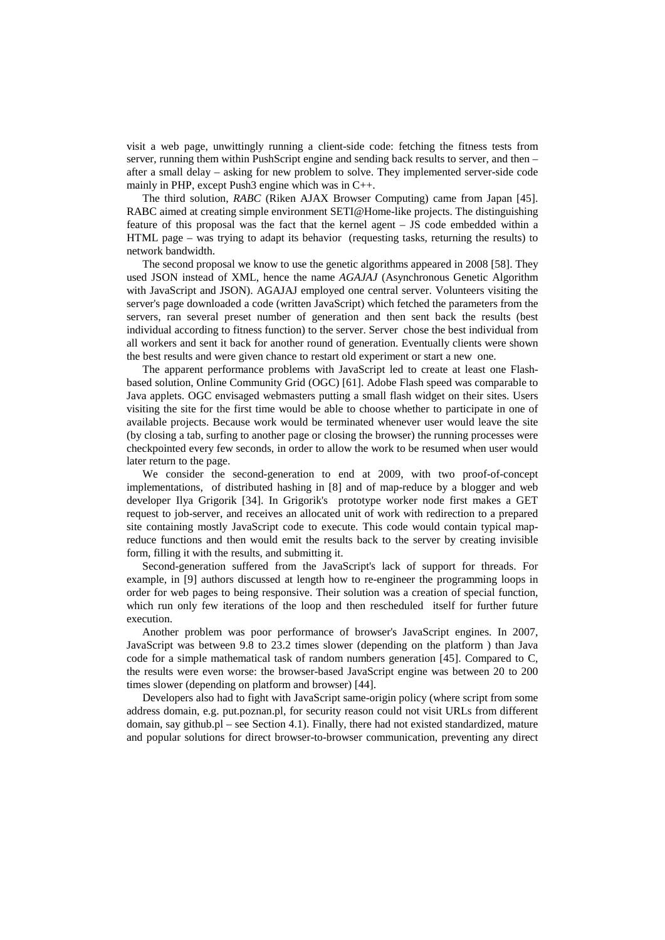visit a web page, unwittingly running a client-side code: fetching the fitness tests from server, running them within PushScript engine and sending back results to server, and then – after a small delay – asking for new problem to solve. They implemented server-side code mainly in PHP, except Push3 engine which was in C++.

The third solution, *RABC* (Riken AJAX Browser Computing) came from Japan [\[45\].](#page-36-3)  RABC aimed at creating simple environment SETI@Home-like projects. The distinguishing feature of this proposal was the fact that the kernel agent – JS code embedded within a HTML page – was trying to adapt its behavior (requesting tasks, returning the results) to network bandwidth.

The second proposal we know to use the genetic algorithms appeared in 200[8 \[58\].](#page-37-6) They used JSON instead of XML, hence the name *AGAJAJ* (Asynchronous Genetic Algorithm with JavaScript and JSON). AGAJAJ employed one central server. Volunteers visiting the server's page downloaded a code (written JavaScript) which fetched the parameters from the servers, ran several preset number of generation and then sent back the results (best individual according to fitness function) to the server. Server chose the best individual from all workers and sent it back for another round of generation. Eventually clients were shown the best results and were given chance to restart old experiment or start a new one.

The apparent performance problems with JavaScript led to create at least one Flashbased solution, Online Community Grid (OGC) [\[61\].](#page-37-7) Adobe Flash speed was comparable to Java applets. OGC envisaged webmasters putting a small flash widget on their sites. Users visiting the site for the first time would be able to choose whether to participate in one of available projects. Because work would be terminated whenever user would leave the site (by closing a tab, surfing to another page or closing the browser) the running processes were checkpointed every few seconds, in order to allow the work to be resumed when user would later return to the page.

We consider the second-generation to end at 2009, with two proof-of-concept implementations, of distributed hashing in [\[8\]](#page-34-6) and of map-reduce by a blogger and web developer Ilya Grigorik [\[34\].](#page-35-5) In Grigorik's prototype worker node first makes a GET request to job-server, and receives an allocated unit of work with redirection to a prepared site containing mostly JavaScript code to execute. This code would contain typical mapreduce functions and then would emit the results back to the server by creating invisible form, filling it with the results, and submitting it.

Second-generation suffered from the JavaScript's lack of support for threads. For example, in [\[9\]](#page-34-4) authors discussed at length how to re-engineer the programming loops in order for web pages to being responsive. Their solution was a creation of special function, which run only few iterations of the loop and then rescheduled itself for further future execution.

Another problem was poor performance of browser's JavaScript engines. In 2007, JavaScript was between 9.8 to 23.2 times slower (depending on the platform ) than Java code for a simple mathematical task of random numbers generation [\[45\].](#page-36-3) Compared to C, the results were even worse: the browser-based JavaScript engine was between 20 to 200 times slower (depending on platform and browser[\) \[44\].](#page-36-0) 

Developers also had to fight with JavaScript same-origin policy (where script from some address domain, e.g. put.poznan.pl, for security reason could not visit URLs from different domain, say github.pl – see Section [4.1\)](#page-16-1). Finally, there had not existed standardized, mature and popular solutions for direct browser-to-browser communication, preventing any direct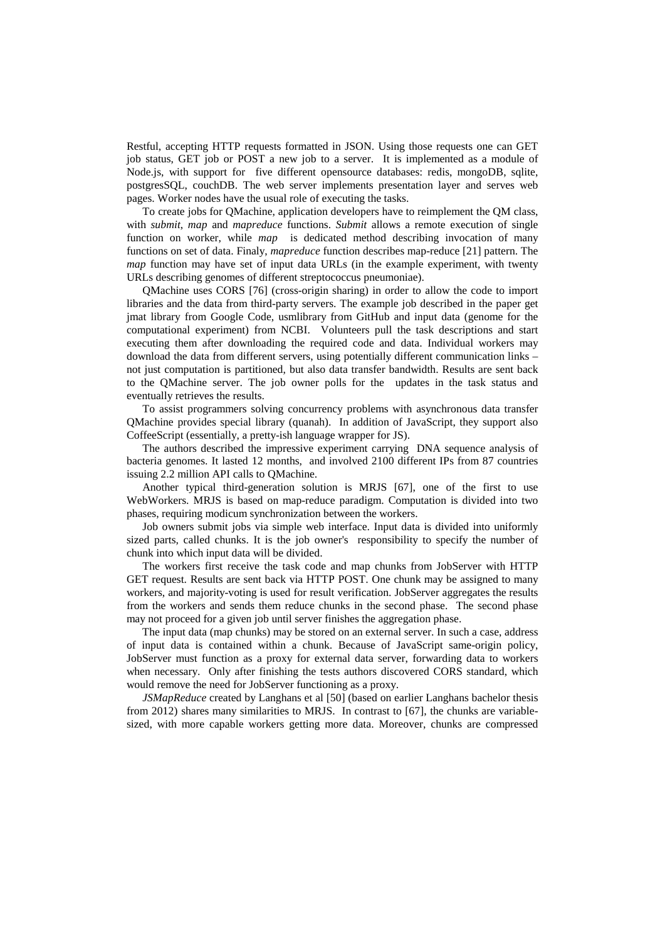Restful, accepting HTTP requests formatted in JSON. Using those requests one can GET job status, GET job or POST a new job to a server. It is implemented as a module of Node.js, with support for five different opensource databases: redis, mongoDB, sqlite, postgresSQL, couchDB. The web server implements presentation layer and serves web pages. Worker nodes have the usual role of executing the tasks.

To create jobs for QMachine, application developers have to reimplement the QM class, with *submit*, *map* and *mapreduce* functions. *Submit* allows a remote execution of single function on worker, while *map* is dedicated method describing invocation of many functions on set of data. Finaly, *mapreduce* function describes map-reduce [\[21\]](#page-34-7) pattern. The *map* function may have set of input data URLs (in the example experiment, with twenty URLs describing genomes of different streptococcus pneumoniae).

QMachine uses CORS [\[76\]](#page-38-8) (cross-origin sharing) in order to allow the code to import libraries and the data from third-party servers. The example job described in the paper get jmat library from Google Code, usmlibrary from GitHub and input data (genome for the computational experiment) from NCBI. Volunteers pull the task descriptions and start executing them after downloading the required code and data. Individual workers may download the data from different servers, using potentially different communication links – not just computation is partitioned, but also data transfer bandwidth. Results are sent back to the QMachine server. The job owner polls for the updates in the task status and eventually retrieves the results.

To assist programmers solving concurrency problems with asynchronous data transfer QMachine provides special library (quanah). In addition of JavaScript, they support also CoffeeScript (essentially, a pretty-ish language wrapper for JS).

The authors described the impressive experiment carrying DNA sequence analysis of bacteria genomes. It lasted 12 months, and involved 2100 different IPs from 87 countries issuing 2.2 million API calls to QMachine.

Another typical third-generation solution is MRJS [\[67\],](#page-38-3) one of the first to use WebWorkers. MRJS is based on map-reduce paradigm. Computation is divided into two phases, requiring modicum synchronization between the workers.

Job owners submit jobs via simple web interface. Input data is divided into uniformly sized parts, called chunks. It is the job owner's responsibility to specify the number of chunk into which input data will be divided.

The workers first receive the task code and map chunks from JobServer with HTTP GET request. Results are sent back via HTTP POST. One chunk may be assigned to many workers, and majority-voting is used for result verification. JobServer aggregates the results from the workers and sends them reduce chunks in the second phase. The second phase may not proceed for a given job until server finishes the aggregation phase.

The input data (map chunks) may be stored on an external server. In such a case, address of input data is contained within a chunk. Because of JavaScript same-origin policy, JobServer must function as a proxy for external data server, forwarding data to workers when necessary. Only after finishing the tests authors discovered CORS standard, which would remove the need for JobServer functioning as a proxy.

*JSMapReduce* created by Langhans et al [\[50\]](#page-36-1) (based on earlier Langhans bachelor thesis from 2012) shares many similarities to MRJS. In contrast to [\[67\],](#page-38-3) the chunks are variablesized, with more capable workers getting more data. Moreover, chunks are compressed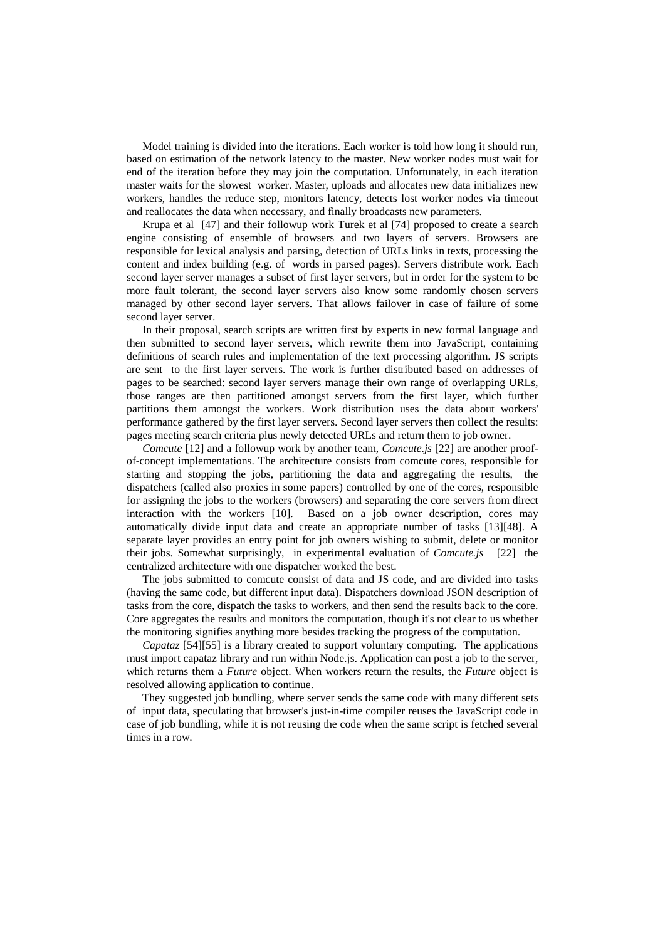Model training is divided into the iterations. Each worker is told how long it should run, based on estimation of the network latency to the master. New worker nodes must wait for end of the iteration before they may join the computation. Unfortunately, in each iteration master waits for the slowest worker. Master, uploads and allocates new data initializes new workers, handles the reduce step, monitors latency, detects lost worker nodes via timeout and reallocates the data when necessary, and finally broadcasts new parameters.

Krupa et al [\[47\]](#page-36-2) and their followup work Turek et al [\[74\]](#page-38-9) proposed to create a search engine consisting of ensemble of browsers and two layers of servers. Browsers are responsible for lexical analysis and parsing, detection of URLs links in texts, processing the content and index building (e.g. of words in parsed pages). Servers distribute work. Each second layer server manages a subset of first layer servers, but in order for the system to be more fault tolerant, the second layer servers also know some randomly chosen servers managed by other second layer servers. That allows failover in case of failure of some second layer server.

In their proposal, search scripts are written first by experts in new formal language and then submitted to second layer servers, which rewrite them into JavaScript, containing definitions of search rules and implementation of the text processing algorithm. JS scripts are sent to the first layer servers. The work is further distributed based on addresses of pages to be searched: second layer servers manage their own range of overlapping URLs, those ranges are then partitioned amongst servers from the first layer, which further partitions them amongst the workers. Work distribution uses the data about workers' performance gathered by the first layer servers. Second layer servers then collect the results: pages meeting search criteria plus newly detected URLs and return them to job owner.

*Comcute* [\[12\]](#page-34-8) and a followup work by another team, *Comcute.js* [\[22\]](#page-35-2) are another proofof-concept implementations. The architecture consists from comcute cores, responsible for starting and stopping the jobs, partitioning the data and aggregating the results, the dispatchers (called also proxies in some papers) controlled by one of the cores, responsible for assigning the jobs to the workers (browsers) and separating the core servers from direct interaction with the workers [\[10\].](#page-34-5) Based on a job owner description, cores may automatically divide input data and create an appropriate number of tasks [\[13\]\[48\].](#page-34-0) A separate layer provides an entry point for job owners wishing to submit, delete or monitor their jobs. Somewhat surprisingly, in experimental evaluation of *Comcute.js* [\[22\]](#page-35-2) the centralized architecture with one dispatcher worked the best.

The jobs submitted to comcute consist of data and JS code, and are divided into tasks (having the same code, but different input data). Dispatchers download JSON description of tasks from the core, dispatch the tasks to workers, and then send the results back to the core. Core aggregates the results and monitors the computation, though it's not clear to us whether the monitoring signifies anything more besides tracking the progress of the computation.

*Capataz* [\[54\]\[55\]](#page-37-4) is a library created to support voluntary computing. The applications must import capataz library and run within Node.js. Application can post a job to the server, which returns them a *Future* object. When workers return the results, the *Future* object is resolved allowing application to continue.

They suggested job bundling, where server sends the same code with many different sets of input data, speculating that browser's just-in-time compiler reuses the JavaScript code in case of job bundling, while it is not reusing the code when the same script is fetched several times in a row.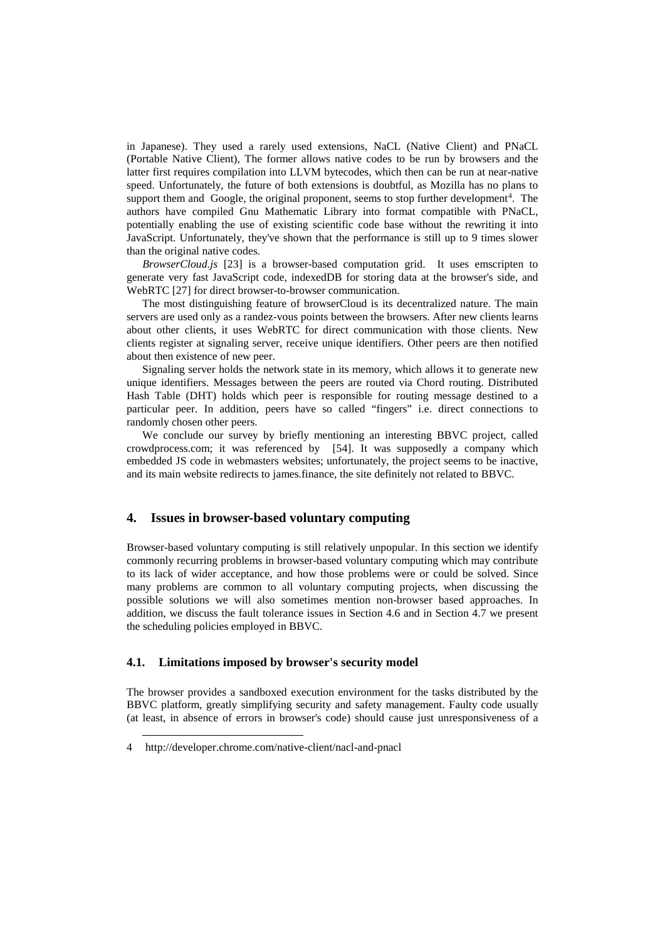in Japanese). They used a rarely used extensions, NaCL (Native Client) and PNaCL (Portable Native Client), The former allows native codes to be run by browsers and the latter first requires compilation into LLVM bytecodes, which then can be run at near-native speed. Unfortunately, the future of both extensions is doubtful, as Mozilla has no plans to support them and Google, the original proponent, seems to stop further development<sup>[4](#page-16-2)</sup>. The authors have compiled Gnu Mathematic Library into format compatible with PNaCL, potentially enabling the use of existing scientific code base without the rewriting it into JavaScript. Unfortunately, they've shown that the performance is still up to 9 times slower than the original native codes.

*BrowserCloud.js* [\[23\]](#page-35-3) is a browser-based computation grid. It uses emscripten to generate very fast JavaScript code, indexedDB for storing data at the browser's side, and WebRTC [\[27\]](#page-35-6) for direct browser-to-browser communication.

The most distinguishing feature of browserCloud is its decentralized nature. The main servers are used only as a randez-vous points between the browsers. After new clients learns about other clients, it uses WebRTC for direct communication with those clients. New clients register at signaling server, receive unique identifiers. Other peers are then notified about then existence of new peer.

Signaling server holds the network state in its memory, which allows it to generate new unique identifiers. Messages between the peers are routed via Chord routing. Distributed Hash Table (DHT) holds which peer is responsible for routing message destined to a particular peer. In addition, peers have so called "fingers" i.e. direct connections to randomly chosen other peers.

We conclude our survey by briefly mentioning an interesting BBVC project, called crowdprocess.com; it was referenced by [\[54\].](#page-37-4) It was supposedly a company which embedded JS code in webmasters websites; unfortunately, the project seems to be inactive, and its main website redirects to james.finance, the site definitely not related to BBVC.

# <span id="page-16-0"></span>**4. Issues in browser-based voluntary computing**

Browser-based voluntary computing is still relatively unpopular. In this section we identify commonly recurring problems in browser-based voluntary computing which may contribute to its lack of wider acceptance, and how those problems were or could be solved. Since many problems are common to all voluntary computing projects, when discussing the possible solutions we will also sometimes mention non-browser based approaches. In addition, we discuss the fault tolerance issues in Section [4.6](#page-22-0) and in Section [4.7](#page-23-1) we present the scheduling policies employed in BBVC.

### <span id="page-16-1"></span>**4.1. Limitations imposed by browser's security model**

The browser provides a sandboxed execution environment for the tasks distributed by the BBVC platform, greatly simplifying security and safety management. Faulty code usually (at least, in absence of errors in browser's code) should cause just unresponsiveness of a

1

<span id="page-16-2"></span><sup>4</sup> http://developer.chrome.com/native-client/nacl-and-pnacl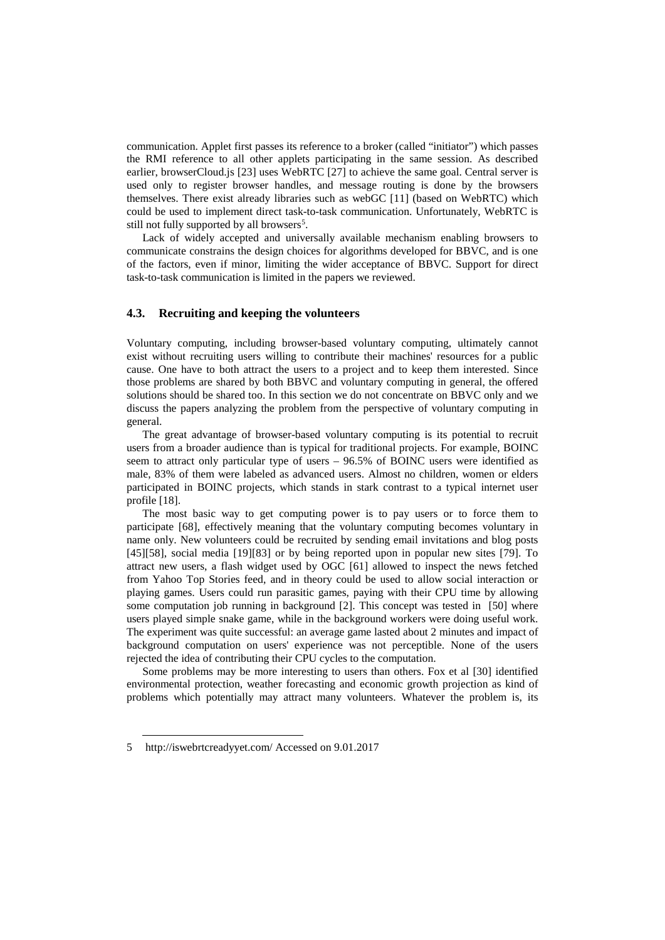communication. Applet first passes its reference to a broker (called "initiator") which passes the RMI reference to all other applets participating in the same session. As described earlier, browserCloud.js [\[23\]](#page-35-3) uses WebRTC [\[27\]](#page-35-6) to achieve the same goal. Central server is used only to register browser handles, and message routing is done by the browsers themselves. There exist already libraries such as webGC [\[11\]](#page-34-9) (based on WebRTC) which could be used to implement direct task-to-task communication. Unfortunately, WebRTC is still not fully supported by all browsers<sup>[5](#page-18-0)</sup>.

Lack of widely accepted and universally available mechanism enabling browsers to communicate constrains the design choices for algorithms developed for BBVC, and is one of the factors, even if minor, limiting the wider acceptance of BBVC. Support for direct task-to-task communication is limited in the papers we reviewed.

### **4.3. Recruiting and keeping the volunteers**

Voluntary computing, including browser-based voluntary computing, ultimately cannot exist without recruiting users willing to contribute their machines' resources for a public cause. One have to both attract the users to a project and to keep them interested. Since those problems are shared by both BBVC and voluntary computing in general, the offered solutions should be shared too. In this section we do not concentrate on BBVC only and we discuss the papers analyzing the problem from the perspective of voluntary computing in general.

The great advantage of browser-based voluntary computing is its potential to recruit users from a broader audience than is typical for traditional projects. For example, BOINC seem to attract only particular type of users – 96.5% of BOINC users were identified as male, 83% of them were labeled as advanced users. Almost no children, women or elders participated in BOINC projects, which stands in stark contrast to a typical internet user profile [\[18\].](#page-34-10) 

The most basic way to get computing power is to pay users or to force them to participate [\[68\],](#page-38-4) effectively meaning that the voluntary computing becomes voluntary in name only. New volunteers could be recruited by sending email invitations and blog posts [\[45\]\[58\],](#page-36-3) social media [\[19\]\[83\]](#page-34-3) or by being reported upon in popular new sites [\[79\].](#page-38-1) To attract new users, a flash widget used by OGC [\[61\]](#page-37-7) allowed to inspect the news fetched from Yahoo Top Stories feed, and in theory could be used to allow social interaction or playing games. Users could run parasitic games, paying with their CPU time by allowing some computation job running in background [\[2\].](#page-33-4) This concept was tested in [\[50\]](#page-36-1) where users played simple snake game, while in the background workers were doing useful work. The experiment was quite successful: an average game lasted about 2 minutes and impact of background computation on users' experience was not perceptible. None of the users rejected the idea of contributing their CPU cycles to the computation.

Some problems may be more interesting to users than others. Fox et al [\[30\]](#page-35-7) identified environmental protection, weather forecasting and economic growth projection as kind of problems which potentially may attract many volunteers. Whatever the problem is, its

1

<span id="page-18-0"></span><sup>5</sup> http://iswebrtcreadyyet.com/ Accessed on 9.01.2017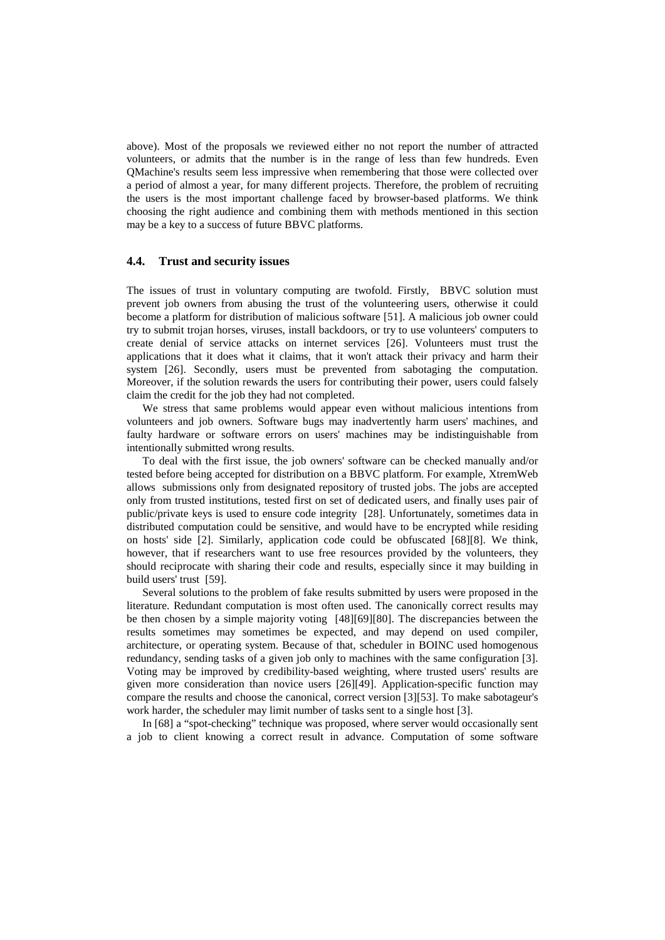above). Most of the proposals we reviewed either no not report the number of attracted volunteers, or admits that the number is in the range of less than few hundreds. Even QMachine's results seem less impressive when remembering that those were collected over a period of almost a year, for many different projects. Therefore, the problem of recruiting the users is the most important challenge faced by browser-based platforms. We think choosing the right audience and combining them with methods mentioned in this section may be a key to a success of future BBVC platforms.

### **4.4. Trust and security issues**

The issues of trust in voluntary computing are twofold. Firstly, BBVC solution must prevent job owners from abusing the trust of the volunteering users, otherwise it could become a platform for distribution of malicious software [\[51\].](#page-36-4) A malicious job owner could try to submit trojan horses, viruses, install backdoors, or try to use volunteers' computers to create denial of service attacks on internet services [\[26\].](#page-35-1) Volunteers must trust the applications that it does what it claims, that it won't attack their privacy and harm their system [\[26\].](#page-35-1) Secondly, users must be prevented from sabotaging the computation. Moreover, if the solution rewards the users for contributing their power, users could falsely claim the credit for the job they had not completed.

We stress that same problems would appear even without malicious intentions from volunteers and job owners. Software bugs may inadvertently harm users' machines, and faulty hardware or software errors on users' machines may be indistinguishable from intentionally submitted wrong results.

To deal with the first issue, the job owners' software can be checked manually and/or tested before being accepted for distribution on a BBVC platform. For example, XtremWeb allows submissions only from designated repository of trusted jobs. The jobs are accepted only from trusted institutions, tested first on set of dedicated users, and finally uses pair of public/private keys is used to ensure code integrity [\[28\].](#page-35-0) Unfortunately, sometimes data in distributed computation could be sensitive, and would have to be encrypted while residing on hosts' side [\[2\].](#page-33-4) Similarly, application code could be obfuscated [\[68\]\[8\].](#page-38-4) We think, however, that if researchers want to use free resources provided by the volunteers, they should reciprocate with sharing their code and results, especially since it may building in build users' trust [\[59\].](#page-37-8)

Several solutions to the problem of fake results submitted by users were proposed in the literature. Redundant computation is most often used. The canonically correct results may be then chosen by a simple majority voting [\[48\]\[69\]](#page-36-5)[\[80\].](#page-38-2) The discrepancies between the results sometimes may sometimes be expected, and may depend on used compiler, architecture, or operating system. Because of that, scheduler in BOINC used homogenous redundancy, sending tasks of a given job only to machines with the same configuration [\[3\].](#page-33-0)  Voting may be improved by credibility-based weighting, where trusted users' results are given more consideration than novice users [\[26\]\[49\].](#page-35-1) Application-specific function may compare the results and choose the canonical, correct version [\[3\]\[53\].](#page-33-0) To make sabotageur's work harder, the scheduler may limit number of tasks sent to a single host [\[3\].](#page-33-0)

In [\[68\]](#page-38-4) a "spot-checking" technique was proposed, where server would occasionally sent a job to client knowing a correct result in advance. Computation of some software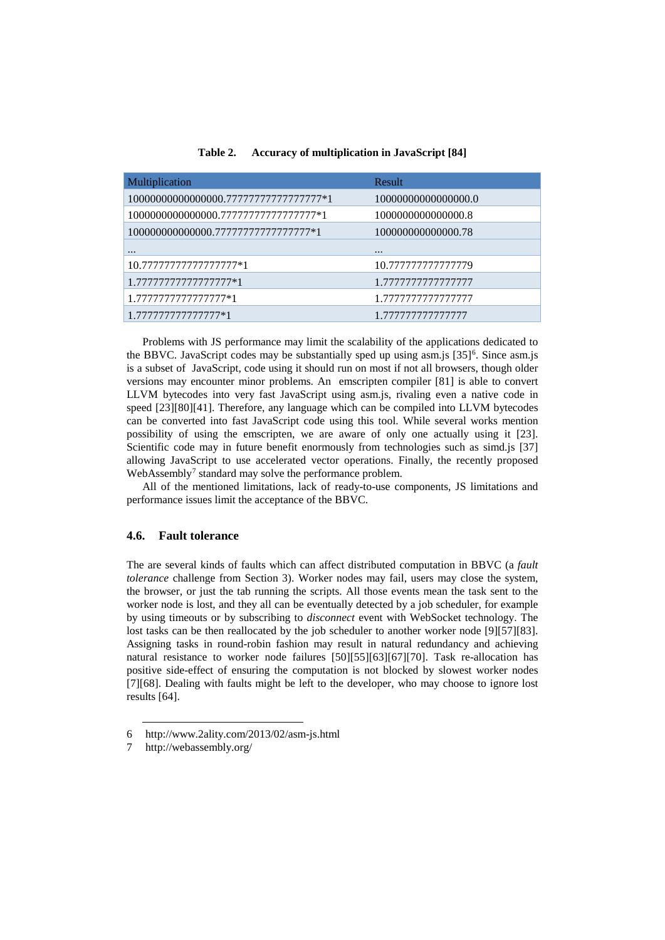| Multiplication                         | <b>Result</b>       |
|----------------------------------------|---------------------|
| 10000000000000000.777777777777777777*1 | 1000000000000000.0  |
| 1000000000000000.77777777777777777*1   | 1000000000000000.8  |
| 100000000000000.7777777777777777777*1  | 10000000000000.78   |
| $\cdots$                               | $\cdots$            |
| $10.777777777777777777*1$              | 10.7777777777777779 |
| $1.777777777777777777*1$               | 1.7777777777777777  |
| $1.7777777777777777*1$                 | 1.77777777777777777 |
| $1.7777777777777777*1$                 | 1.777777777777777   |

## **Table 2. Accuracy of multiplication in JavaScript [\[84\]](#page-39-1)**

Problems with JS performance may limit the scalability of the applications dedicated to the BBVC. JavaScript codes may be substantially sped up using asm.js [\[35\]](#page-35-8)<sup>[6](#page-22-1)</sup>. Since asm.js is a subset of JavaScript, code using it should run on most if not all browsers, though older versions may encounter minor problems. An emscripten compiler [\[81\]](#page-38-10) is able to convert LLVM bytecodes into very fast JavaScript using asm.js, rivaling even a native code in speed [\[23\]\[80\]](#page-35-3)[\[41\].](#page-36-6) Therefore, any language which can be compiled into LLVM bytecodes can be converted into fast JavaScript code using this tool. While several works mention possibility of using the emscripten, we are aware of only one actually using it [\[23\].](#page-35-3)  Scientific code may in future benefit enormously from technologies such as simd.js [\[37\]](#page-35-9) allowing JavaScript to use accelerated vector operations. Finally, the recently proposed WebAssembly<sup>[7](#page-22-2)</sup> standard may solve the performance problem.

All of the mentioned limitations, lack of ready-to-use components, JS limitations and performance issues limit the acceptance of the BBVC.

# <span id="page-22-0"></span>**4.6. Fault tolerance**

The are several kinds of faults which can affect distributed computation in BBVC (a *fault tolerance* challenge from Section [3\)](#page-2-0). Worker nodes may fail, users may close the system, the browser, or just the tab running the scripts. All those events mean the task sent to the worker node is lost, and they all can be eventually detected by a job scheduler, for example by using timeouts or by subscribing to *disconnect* event with WebSocket technology. The lost tasks can be then reallocated by the job scheduler to another worker node [\[9\]\[57\]](#page-34-4)[\[83\].](#page-39-0)  Assigning tasks in round-robin fashion may result in natural redundancy and achieving natural resistance to worker node failures [\[50\]\[55\]](#page-36-1)[\[63\]\[67\]](#page-37-9)[\[70\].](#page-38-11) Task re-allocation has positive side-effect of ensuring the computation is not blocked by slowest worker nodes [\[7\]\[68\].](#page-33-3) Dealing with faults might be left to the developer, who may choose to ignore lost results [\[64\].](#page-37-0)

-

<span id="page-22-2"></span><span id="page-22-1"></span><sup>6</sup> http://www.2ality.com/2013/02/asm-js.html

<sup>7</sup> http://webassembly.org/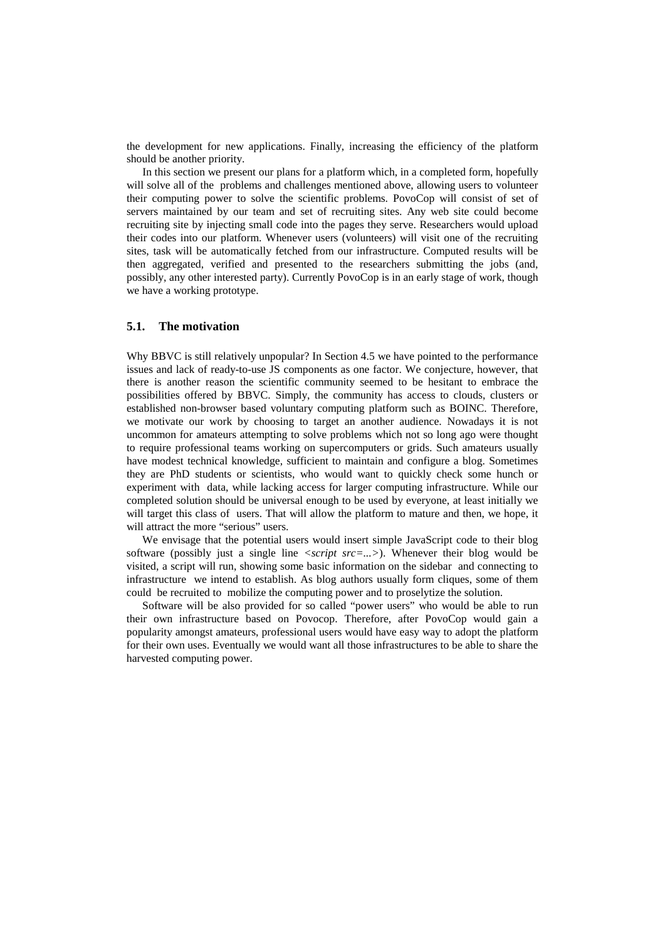the development for new applications. Finally, increasing the efficiency of the platform should be another priority.

In this section we present our plans for a platform which, in a completed form, hopefully will solve all of the problems and challenges mentioned above, allowing users to volunteer their computing power to solve the scientific problems. PovoCop will consist of set of servers maintained by our team and set of recruiting sites. Any web site could become recruiting site by injecting small code into the pages they serve. Researchers would upload their codes into our platform. Whenever users (volunteers) will visit one of the recruiting sites, task will be automatically fetched from our infrastructure. Computed results will be then aggregated, verified and presented to the researchers submitting the jobs (and, possibly, any other interested party). Currently PovoCop is in an early stage of work, though we have a working prototype.

# **5.1. The motivation**

Why BBVC is still relatively unpopular? In Section [4.5](#page-21-0) we have pointed to the performance issues and lack of ready-to-use JS components as one factor. We conjecture, however, that there is another reason the scientific community seemed to be hesitant to embrace the possibilities offered by BBVC. Simply, the community has access to clouds, clusters or established non-browser based voluntary computing platform such as BOINC. Therefore, we motivate our work by choosing to target an another audience. Nowadays it is not uncommon for amateurs attempting to solve problems which not so long ago were thought to require professional teams working on supercomputers or grids. Such amateurs usually have modest technical knowledge, sufficient to maintain and configure a blog. Sometimes they are PhD students or scientists, who would want to quickly check some hunch or experiment with data, while lacking access for larger computing infrastructure. While our completed solution should be universal enough to be used by everyone, at least initially we will target this class of users. That will allow the platform to mature and then, we hope, it will attract the more "serious" users.

We envisage that the potential users would insert simple JavaScript code to their blog software (possibly just a single line *<script src=...>*). Whenever their blog would be visited, a script will run, showing some basic information on the sidebar and connecting to infrastructure we intend to establish. As blog authors usually form cliques, some of them could be recruited to mobilize the computing power and to proselytize the solution.

Software will be also provided for so called "power users" who would be able to run their own infrastructure based on Povocop. Therefore, after PovoCop would gain a popularity amongst amateurs, professional users would have easy way to adopt the platform for their own uses. Eventually we would want all those infrastructures to be able to share the harvested computing power.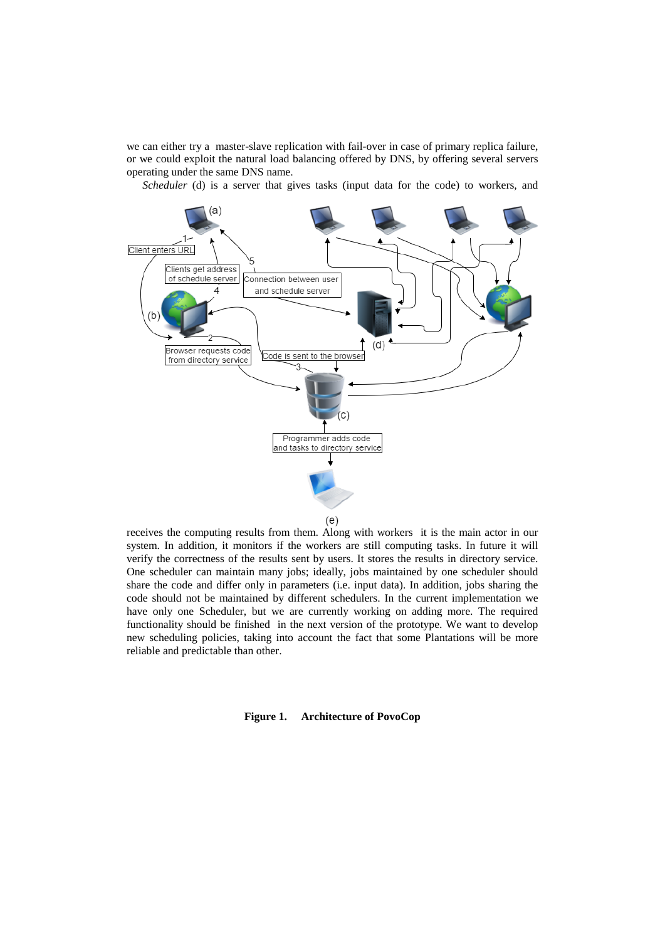we can either try a master-slave replication with fail-over in case of primary replica failure, or we could exploit the natural load balancing offered by DNS, by offering several servers operating under the same DNS name.

*Scheduler* (d) is a server that gives tasks (input data for the code) to workers, and



 $(e)$ 

receives the computing results from them. Along with workers it is the main actor in our system. In addition, it monitors if the workers are still computing tasks. In future it will verify the correctness of the results sent by users. It stores the results in directory service. One scheduler can maintain many jobs; ideally, jobs maintained by one scheduler should share the code and differ only in parameters (i.e. input data). In addition, jobs sharing the code should not be maintained by different schedulers. In the current implementation we have only one Scheduler, but we are currently working on adding more. The required functionality should be finished in the next version of the prototype. We want to develop new scheduling policies, taking into account the fact that some Plantations will be more reliable and predictable than other.

#### **Figure 1. Architecture of PovoCop**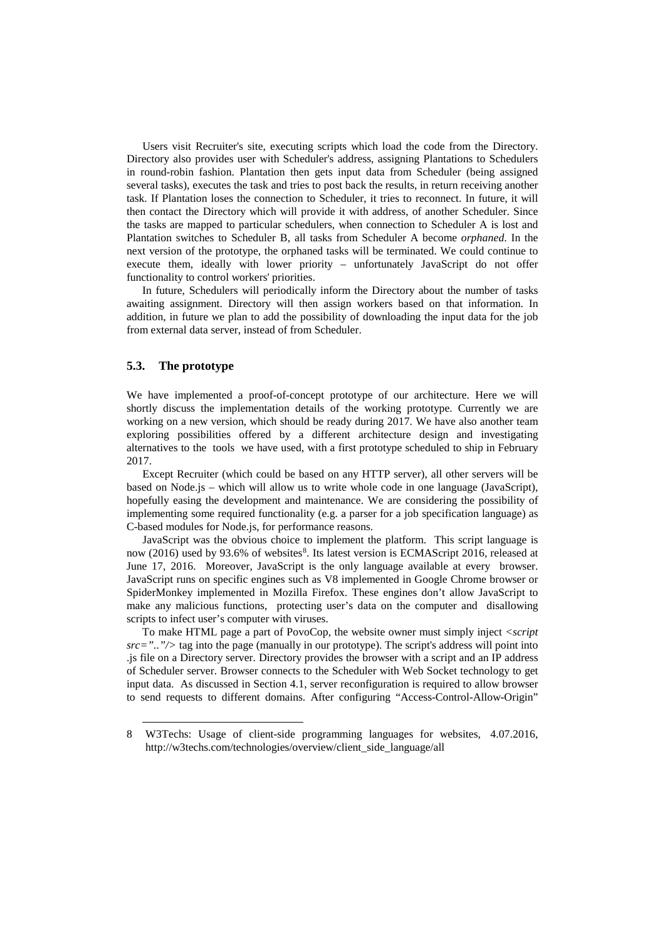communication. Applet first passes its reference to a broker (called "initiator") which passes the RMI reference to all other applets participating in the same session. As described earlier, browserCloud.js [23] uses WebRTC [27] to achieve the same goal. Central server is used only to register browser handles, and message routing is done by the browsers themselves. There exist already libraries such as webGC [11] (based on WebRTC) which could be used to implement direct task-to-task communication. Unfortunately, WebRTC is still not fully supported by all browsers<sup>5</sup>.

Lack of widely accepted and universally available mechanism enabling browsers to communicate constrains the design choices for algorithms developed for BBVC, and is one of the factors, even if minor, limiting the wider acceptance of BBVC. Support for direct task-to-task communication is limited in the papers we reviewed.

#### $4.3.$ Recruiting and keeping the volunteers

Voluntary computing, including browser-based voluntary computing, ultimately cannot exist without recruiting users willing to contribute their machines' resources for a public cause. One have to both attract the users to a project and to keep them interested. Since those problems are shared by both BBVC and voluntary computing in general, the offered solutions should be shared too. In this section we do not concentrate on BBVC only and we discuss the papers analyzing the problem from the perspective of voluntary computing in general.

The great advantage of browser-based voluntary computing is its potential to recruit users from a broader audience than is typical for traditional projects. For example, BOINC seem to attract only particular type of users  $-96.5\%$  of BOINC users were identified as male, 83% of them were labeled as advanced users. Almost no children, women or elders participated in BOINC projects, which stands in stark contrast to a typical internet user profile [18].

The most basic way to get computing power is to pay users or to force them to participate [68], effectively meaning that the voluntary computing becomes voluntary in name only. New volunteers could be recruited by sending email invitations and blog posts  $[45][58]$ , social media  $[19][83]$  or by being reported upon in popular new sites [79]. To attract new users, a flash widget used by OGC [61] allowed to inspect the news fetched from Yahoo Top Stories feed, and in theory could be used to allow social interaction or playing games. Users could run parasitic games, paying with their CPU time by allowing some computation job running in background [2]. This concept was tested in [50] where users played simple snake game, while in the background workers were doing useful work. The experiment was quite successful: an average game lasted about 2 minutes and impact of background computation on users' experience was not perceptible. None of the users rejected the idea of contributing their CPU cycles to the computation.

Some problems may be more interesting to users than others. Fox et al [30] identified environmental protection, weather forecasting and economic growth projection as kind of problems which potentially may attract many volunteers. Whatever the problem is, its

http://iswebrtcreadyyet.com/ Accessed on 9.01.2017 5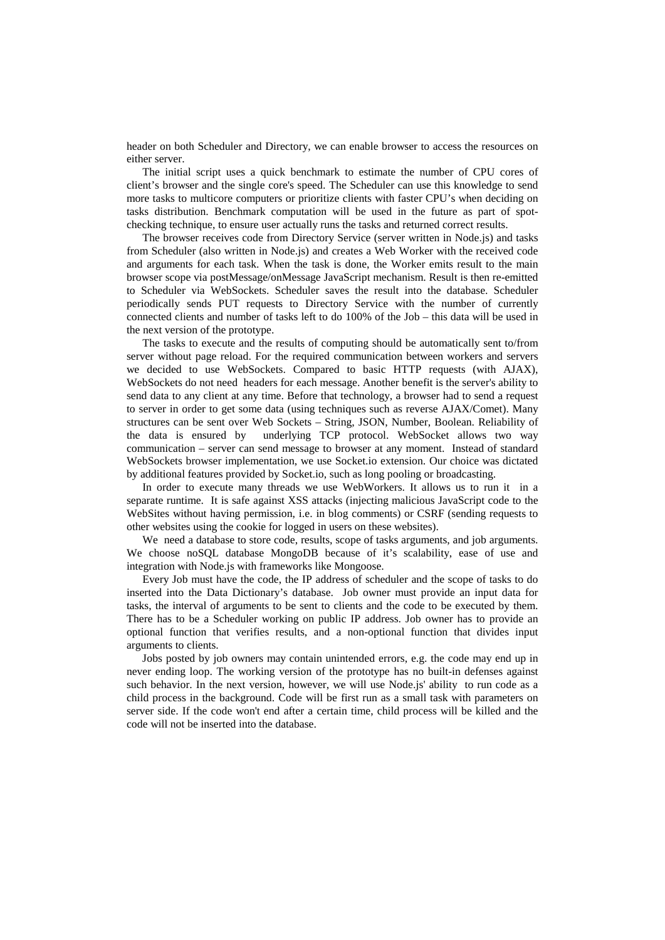header on both Scheduler and Directory, we can enable browser to access the resources on either server.

The initial script uses a quick benchmark to estimate the number of CPU cores of client's browser and the single core's speed. The Scheduler can use this knowledge to send more tasks to multicore computers or prioritize clients with faster CPU's when deciding on tasks distribution. Benchmark computation will be used in the future as part of spotchecking technique, to ensure user actually runs the tasks and returned correct results.

The browser receives code from Directory Service (server written in Node.js) and tasks from Scheduler (also written in Node.js) and creates a Web Worker with the received code and arguments for each task. When the task is done, the Worker emits result to the main browser scope via postMessage/onMessage JavaScript mechanism. Result is then re-emitted to Scheduler via WebSockets. Scheduler saves the result into the database. Scheduler periodically sends PUT requests to Directory Service with the number of currently connected clients and number of tasks left to do 100% of the Job – this data will be used in the next version of the prototype.

The tasks to execute and the results of computing should be automatically sent to/from server without page reload. For the required communication between workers and servers we decided to use WebSockets. Compared to basic HTTP requests (with AJAX), WebSockets do not need headers for each message. Another benefit is the server's ability to send data to any client at any time. Before that technology, a browser had to send a request to server in order to get some data (using techniques such as reverse AJAX/Comet). Many structures can be sent over Web Sockets – String, JSON, Number, Boolean. Reliability of the data is ensured by underlying TCP protocol. WebSocket allows two way communication – server can send message to browser at any moment. Instead of standard WebSockets browser implementation, we use Socket.io extension. Our choice was dictated by additional features provided by Socket.io, such as long pooling or broadcasting.

In order to execute many threads we use WebWorkers. It allows us to run it in a separate runtime. It is safe against XSS attacks (injecting malicious JavaScript code to the WebSites without having permission, i.e. in blog comments) or CSRF (sending requests to other websites using the cookie for logged in users on these websites).

We need a database to store code, results, scope of tasks arguments, and job arguments. We choose noSQL database MongoDB because of it's scalability, ease of use and integration with Node.js with frameworks like Mongoose.

Every Job must have the code, the IP address of scheduler and the scope of tasks to do inserted into the Data Dictionary's database. Job owner must provide an input data for tasks, the interval of arguments to be sent to clients and the code to be executed by them. There has to be a Scheduler working on public IP address. Job owner has to provide an optional function that verifies results, and a non-optional function that divides input arguments to clients.

Jobs posted by job owners may contain unintended errors, e.g. the code may end up in never ending loop. The working version of the prototype has no built-in defenses against such behavior. In the next version, however, we will use Node.js' ability to run code as a child process in the background. Code will be first run as a small task with parameters on server side. If the code won't end after a certain time, child process will be killed and the code will not be inserted into the database.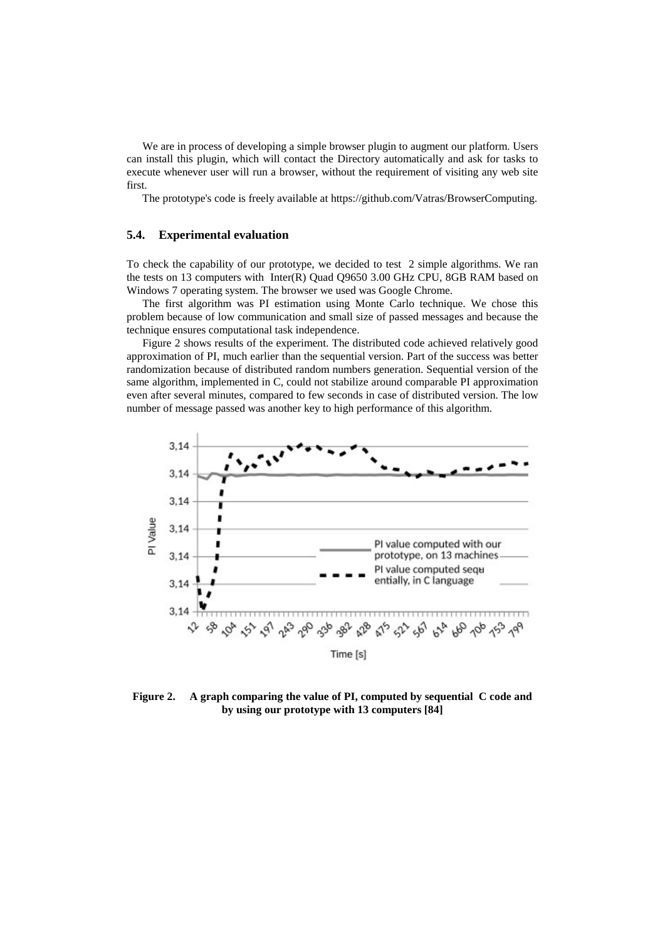| Table 2. | Accuracy of multiplication in JavaScript [84] |
|----------|-----------------------------------------------|
|          |                                               |

| <b>Multiplication</b>                 | <b>Result</b>       |
|---------------------------------------|---------------------|
|                                       | 10000000000000000.0 |
| 1000000000000000.77777777777777777777 | 1000000000000000.8  |
| 100000000000000.777777777777777777*1  | 100000000000000.78  |
|                                       |                     |
| 10.77777777777777777*1                | 10.777777777777779  |
| 1.77777777777777777*1                 | 1.77777777777777777 |
| 1.7777777777777777*1                  | 1.77777777777777777 |
| 1.777777777777777*1                   | 1.7777777777777777  |

Problems with JS performance may limit the scalability of the applications dedicated to the BBVC. JavaScript codes may be substantially sped up using aSings [35] is a subset of JavaScript, code using it should run on most if not all browsers, though old versions may encounter minor problems. An emscripten addressed to convert LLVM bytecodes into very fast JavaScript using asm.js, rivaling even a native code in speed23][80][41]. Therefore, any language which can be commit LLVM bytecodes can be converted into fast JavaScript code using this tool. While several works mention possibility of using the emscripten, we are aware of only one actually using it [23] Scientific codeay in future benefit enormously from technologies such as simd.js [37] allowing JavaScript to use accelerated vector operations. Finally, the recently proposed WebAssemblystandard may solve the performanblem.

All of the mentioned limitations, lack of-tearly components, JS limitations and performance issues limit the acceptance of the BBVC.

#### $4.6.$ **Fault tolerance**

The are several kinds of faults which can affect distributed computation fauBBVC (a tolerancechallenge from Section Worker nodes may fail, users may close the system, the browser, or just the tab running the scripts. All those events mean the task sent to th worker node is lost, and the can be eventually detected by a job scheduler, for example by using timeouts or by subscribing to discovered with WebSocket technology. The lost tasks can be then reallocated by the job scheduler to another worke[88] de [9][57] Assigning tasks in ronoblin fashion may result in natural redundancy and achieving natural resistance to worker node faitor [53][63][67][70]. Task reallocation has positive sideffect of ensuring the computation is not blocked by slowest worker nodes [7][68] Dealing with faults might be left to the developer, who assyto ignore lost result\$64].

<sup>6</sup> http://www.2ality.com/2013/02/ajsrhtml

<sup>7</sup> http://webassemlolig/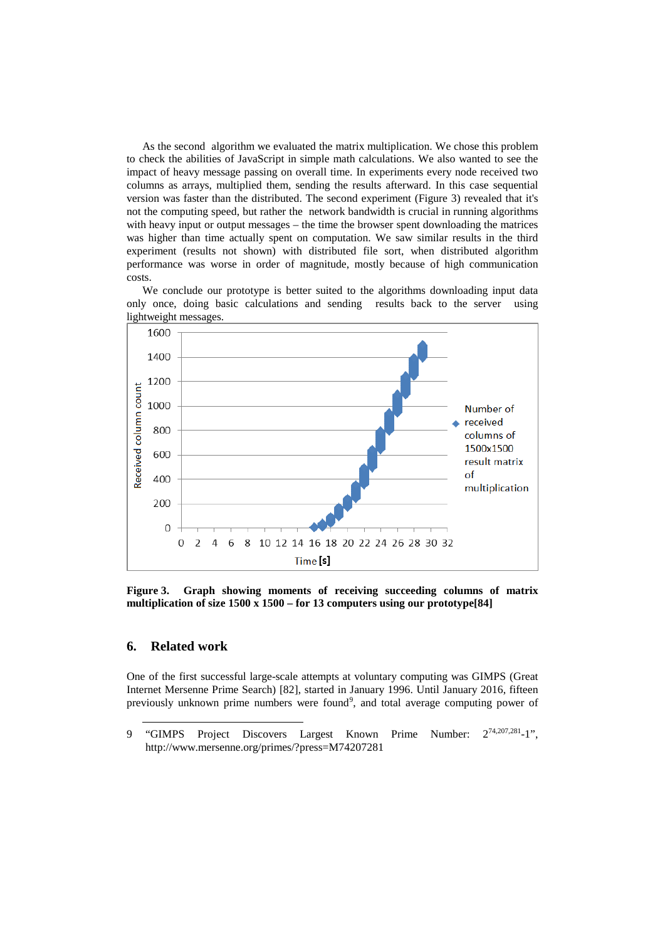As the second algorithm we evaluated the matrix multiplication. We chose this problem to check the abilities of JavaScript in simple math calculations. We also wanted to see the impact of heavy message passing on overall time. In experiments every node received two columns as arrays, multiplied them, sending the results afterward. In this case sequential version was faster than the distributed. The second experiment [\(Figure 3\)](#page-30-1) revealed that it's not the computing speed, but rather the network bandwidth is crucial in running algorithms with heavy input or output messages – the time the browser spent downloading the matrices was higher than time actually spent on computation. We saw similar results in the third experiment (results not shown) with distributed file sort, when distributed algorithm performance was worse in order of magnitude, mostly because of high communication costs.

We conclude our prototype is better suited to the algorithms downloading input data only once, doing basic calculations and sending results back to the server using lightweight messages.



<span id="page-30-1"></span>**Figure 3. Graph showing moments of receiving succeeding columns of matrix multiplication of size 1500 x 1500 – for 13 computers using our prototyp[e\[84\]](#page-39-1)**

### <span id="page-30-0"></span>**6. Related work**

-

One of the first successful large-scale attempts at voluntary computing was GIMPS (Great Internet Mersenne Prime Search) [\[82\],](#page-38-12) started in January 1996. Until January 2016, fifteen previously unknown prime numbers were found<sup>[9](#page-30-2)</sup>, and total average computing power of

<span id="page-30-2"></span><sup>9</sup> ["GIMPS](http://www.mersenne.org/) Project Discovers Largest Known Prime Number: 274,207,281-1", http://www.mersenne.org/primes/?press=M74207281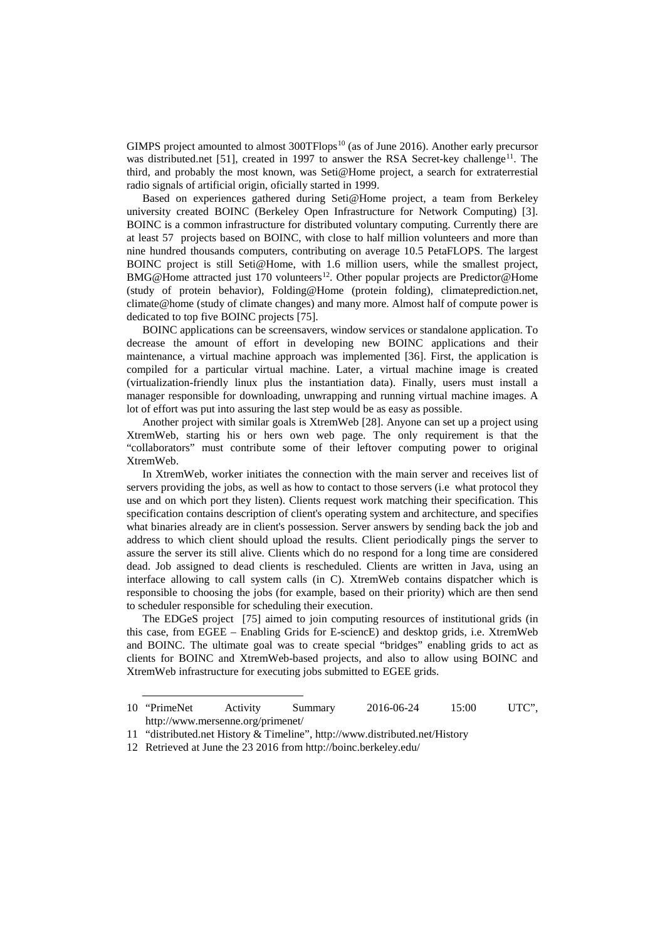GIMPS project amounted to almost 300TFlops<sup>[10](#page-31-0)</sup> (as of June 2016). Another early precursor was distributed.net [\[51\],](#page-36-4) created in 1997 to answer the RSA Secret-key challenge<sup>11</sup>. The third, and probably the most known, was [Seti@Home](mailto:Seti@Home) project, a search for extraterrestial radio signals of artificial origin, oficially started in 1999.

Based on experiences gathered during Seti@Home project, a team from Berkeley university created BOINC (Berkeley Open Infrastructure for Network Computing) [\[3\].](#page-33-0)  BOINC is a common infrastructure for distributed voluntary computing. Currently there are at least 57 projects based on BOINC, with close to half million volunteers and more than nine hundred thousands computers, contributing on average 10.5 PetaFLOPS. The largest BOINC project is still Seti@Home, with 1.6 million users, while the smallest project, BMG@Home attracted just 170 volunteers<sup>[12](#page-31-2)</sup>. Other popular projects are Predictor@Home (study of protein behavior), Folding@Home (protein folding), climateprediction.net, climate@home (study of climate changes) and many more. Almost half of compute power is dedicated to top five BOINC project[s \[75\].](#page-38-0)

BOINC applications can be screensavers, window services or standalone application. To decrease the amount of effort in developing new BOINC applications and their maintenance, a virtual machine approach was implemented [\[36\].](#page-35-10) First, the application is compiled for a particular virtual machine. Later, a virtual machine image is created (virtualization-friendly linux plus the instantiation data). Finally, users must install a manager responsible for downloading, unwrapping and running virtual machine images. A lot of effort was put into assuring the last step would be as easy as possible.

Another project with similar goals is XtremWeb [\[28\].](#page-35-0) Anyone can set up a project using XtremWeb, starting his or hers own web page. The only requirement is that the "collaborators" must contribute some of their leftover computing power to original XtremWeb.

In XtremWeb, worker initiates the connection with the main server and receives list of servers providing the jobs, as well as how to contact to those servers (i.e what protocol they use and on which port they listen). Clients request work matching their specification. This specification contains description of client's operating system and architecture, and specifies what binaries already are in client's possession. Server answers by sending back the job and address to which client should upload the results. Client periodically pings the server to assure the server its still alive. Clients which do no respond for a long time are considered dead. Job assigned to dead clients is rescheduled. Clients are written in Java, using an interface allowing to call system calls (in C). XtremWeb contains dispatcher which is responsible to choosing the jobs (for example, based on their priority) which are then send to scheduler responsible for scheduling their execution.

The EDGeS project [\[75\]](#page-38-0) aimed to join computing resources of institutional grids (in this case, from EGEE – Enabling Grids for E-sciencE) and desktop grids, i.e. XtremWeb and BOINC. The ultimate goal was to create special "bridges" enabling grids to act as clients for BOINC and XtremWeb-based projects, and also to allow using BOINC and XtremWeb infrastructure for executing jobs submitted to EGEE grids.

1

<span id="page-31-0"></span><sup>10</sup> "PrimeNet Activity Summary 2016-06-24 15:00 UTC", http://www.mersenne.org/primenet/

<span id="page-31-1"></span><sup>11</sup> "distributed.net History & Timeline", http://www.distributed.net/History

<span id="page-31-2"></span><sup>12</sup> Retrieved at June the 23 2016 from http://boinc.berkeley.edu/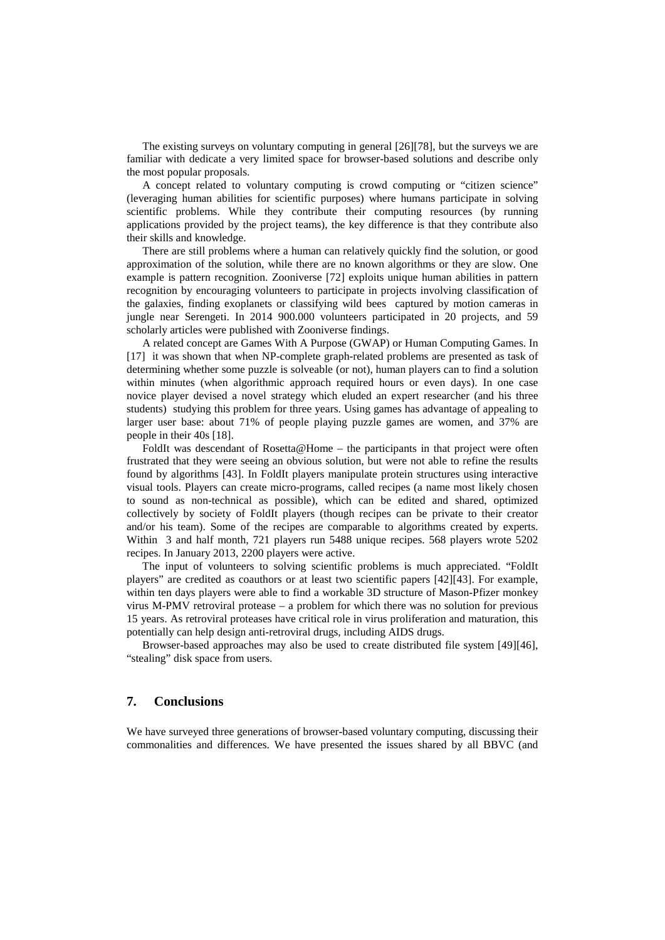The existing surveys on voluntary computing in general [\[26\]\[78\],](#page-35-1) but the surveys we are familiar with dedicate a very limited space for browser-based solutions and describe only the most popular proposals.

A concept related to voluntary computing is crowd computing or "citizen science" (leveraging human abilities for scientific purposes) where humans participate in solving scientific problems. While they contribute their computing resources (by running applications provided by the project teams), the key difference is that they contribute also their skills and knowledge.

There are still problems where a human can relatively quickly find the solution, or good approximation of the solution, while there are no known algorithms or they are slow. One example is pattern recognition. Zooniverse [\[72\]](#page-38-13) exploits unique human abilities in pattern recognition by encouraging volunteers to participate in projects involving classification of the galaxies, finding exoplanets or classifying wild bees captured by motion cameras in jungle near Serengeti. In 2014 900.000 volunteers participated in 20 projects, and 59 scholarly articles were published with Zooniverse findings.

A related concept are Games With A Purpose (GWAP) or Human Computing Games. In [\[17\]](#page-34-11) it was shown that when NP-complete graph-related problems are presented as task of determining whether some puzzle is solveable (or not), human players can to find a solution within minutes (when algorithmic approach required hours or even days). In one case novice player devised a novel strategy which eluded an expert researcher (and his three students) studying this problem for three years. Using games has advantage of appealing to larger user base: about 71% of people playing puzzle games are women, and 37% are people in their 40s [\[18\].](#page-34-10)

FoldIt was descendant of Rosetta@Home – the participants in that project were often frustrated that they were seeing an obvious solution, but were not able to refine the results found by algorithms [\[43\].](#page-36-7) In FoldIt players manipulate protein structures using interactive visual tools. Players can create micro-programs, called recipes (a name most likely chosen to sound as non-technical as possible), which can be edited and shared, optimized collectively by society of FoldIt players (though recipes can be private to their creator and/or his team). Some of the recipes are comparable to algorithms created by experts. Within 3 and half month, 721 players run 5488 unique recipes. 568 players wrote 5202 recipes. In January 2013, 2200 players were active.

The input of volunteers to solving scientific problems is much appreciated. "FoldIt players" are credited as coauthors or at least two scientific papers [\[42\]\[43\].](#page-36-8) For example, within ten days players were able to find a workable 3D structure of Mason-Pfizer monkey virus M-PMV retroviral protease  $-$  a problem for which there was no solution for previous 15 years. As retroviral proteases have critical role in virus proliferation and maturation, this potentially can help design anti-retroviral drugs, including AIDS drugs.

<span id="page-32-0"></span>Browser-based approaches may also be used to create distributed file system [\[49\]\[46\],](#page-36-9)  "stealing" disk space from users.

# **7. Conclusions**

We have surveyed three generations of browser-based voluntary computing, discussing their commonalities and differences. We have presented the issues shared by all BBVC (and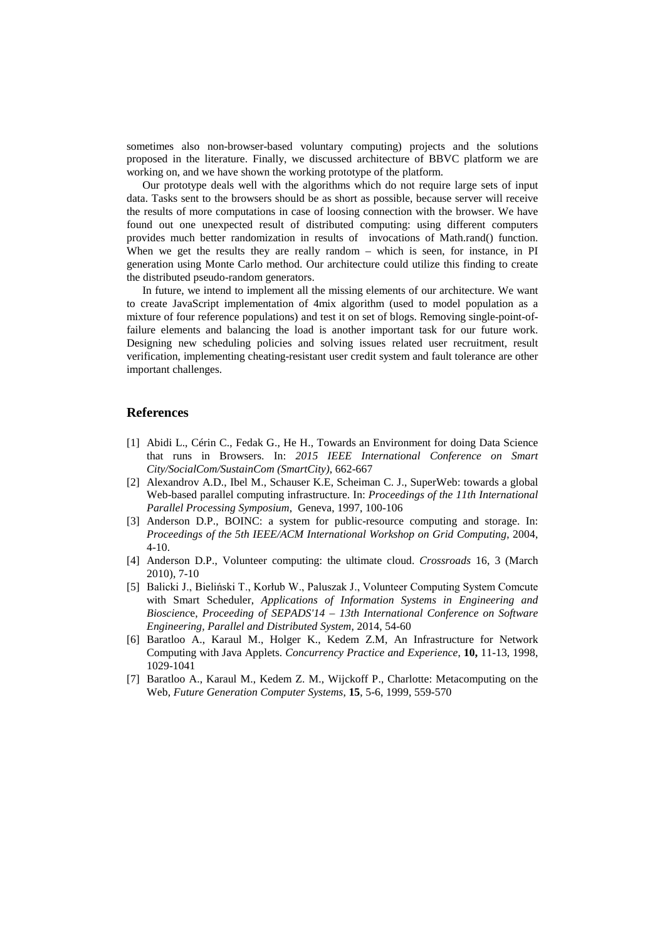Model training is divided into the iterations. Each worker is told how long it should run, based on estimation of the network latency to the master. New worker nodes must wait for end of the iteration before they may join the computation. Unfortunately, in each iteration master waits for the slowest worker. Master, uploads and allocates new data initializes new workers, handles the reduce step, monitors latency, detects lost worker nodes via timeout and reallocates the data when necessary, and finally broadcasts new parameters.

Krupa et al [47] and their followup work Turek et al [74] proposed to create a search engine consisting of ensemble of browsers and two layers of servers. Browsers are responsible for lexical analysis and parsing, detection of URLs links in texts, processing the content and index building (e.g. of words in parsed pages). Servers distribute work. Each second layer server manages a subset of first layer servers, but in order for the system to be more fault tolerant, the second layer servers also know some randomly chosen servers managed by other second layer servers. That allows failover in case of failure of some second layer server.

In their proposal, search scripts are written first by experts in new formal language and then submitted to second layer servers, which rewrite them into JavaScript, containing definitions of search rules and implementation of the text processing algorithm. JS scripts are sent to the first layer servers. The work is further distributed based on addresses of pages to be searched: second layer servers manage their own range of overlapping URLs, those ranges are then partitioned amongst servers from the first layer, which further partitions them amongst the workers. Work distribution uses the data about workers' performance gathered by the first layer servers. Second layer servers then collect the results: pages meeting search criteria plus newly detected URLs and return them to job owner.

**Comcute**[12] and a followup work by another team, **Comcute**, $js[22]$  are another proofof-concept implementations. The architecture consists from comcute cores, responsible for starting and stopping the jobs, partitioning the data and aggregating the results, the dispatchers (called also proxies in some papers) controlled by one of the cores, responsible for assigning the jobs to the workers (browsers) and separating the core servers from direct interaction with the workers [10]. Based on a job owner description, cores may automatically divide input data and create an appropriate number of tasks [13][48]. A separate layer provides an entry point for job owners wishing to submit, delete or monitor their jobs. Somewhat surprisingly, in experimental evaluation of **Comcute.js** [22] the centralized architecture with one dispatcher worked the best.

The jobs submitted to comcute consist of data and JS code, and are divided into tasks (having the same code, but different input data). Dispatchers download JSON description of tasks from the core, dispatch the tasks to workers, and then send the results back to the core. Core aggregates the results and monitors the computation, though it's not clear to us whether the monitoring signifies anything more besides tracking the progress of the computation.

**Capataz** [54] [55] is a library created to support voluntary computing. The applications must import capataz library and run within Node.js. Application can post a job to the server, which returns them a Future object. When workers return the results, the Future object is resolved allowing application to continue.

They suggested job bundling, where server sends the same code with many different sets of input data, speculating that browser's just-in-time compiler reuses the JavaScript code in case of job bundling, while it is not reusing the code when the same script is fetched several times in a row.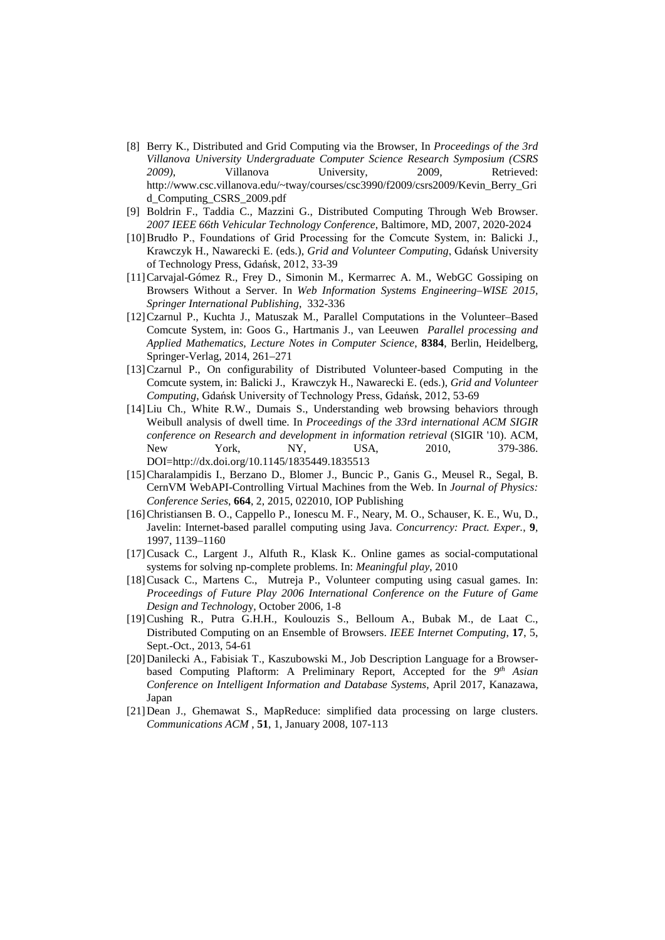- <span id="page-34-6"></span>[8] Berry K., Distributed and Grid Computing via the Browser, In *Proceedings of the 3rd Villanova University Undergraduate Computer Science Research Symposium (CSRS 2009)*, Villanova University, 2009, Retrieved: http://www.csc.villanova.edu/~tway/courses/csc3990/f2009/csrs2009/Kevin\_Berry\_Gri d\_Computing\_CSRS\_2009.pdf
- <span id="page-34-4"></span>[9] Boldrin F., Taddia C., Mazzini G., Distributed Computing Through Web Browser. *2007 IEEE 66th Vehicular Technology Conference*, Baltimore, MD, 2007, 2020-2024
- <span id="page-34-5"></span>[10]Brudło P., Foundations of Grid Processing for the Comcute System, in: Balicki J., Krawczyk H., Nawarecki E. (eds.), *Grid and Volunteer Computing*, Gdańsk University of Technology Press, Gdańsk, 2012, 33-39
- <span id="page-34-9"></span>[11]Carvajal-Gómez R., Frey D., Simonin M., Kermarrec A. M., WebGC Gossiping on Browsers Without a Server. In *Web Information Systems Engineering–WISE 2015, Springer International Publishing*, 332-336
- <span id="page-34-8"></span>[12]Czarnul P., Kuchta J., Matuszak M., Parallel Computations in the Volunteer–Based Comcute System, in: Goos G., Hartmanis J., van Leeuwen *Parallel processing and Applied Mathematics, Lecture Notes in Computer Science*, **8384**, Berlin, Heidelberg, Springer-Verlag, 2014, 261–271
- <span id="page-34-0"></span>[13]Czarnul P., On configurability of Distributed Volunteer-based Computing in the Comcute system, in: Balicki J., Krawczyk H., Nawarecki E. (eds.), *Grid and Volunteer Computing*, Gdańsk University of Technology Press, Gdańsk, 2012, 53-69
- <span id="page-34-1"></span>[14]Liu Ch., White R.W., Dumais S., Understanding web browsing behaviors through Weibull analysis of dwell time. In *Proceedings of the 33rd international ACM SIGIR conference on Research and development in information retrieval* (SIGIR '10). ACM, New York, NY, USA, 2010, 379-386. DOI=http://dx.doi.org/10.1145/1835449.1835513
- [15]Charalampidis I., Berzano D., Blomer J., Buncic P., Ganis G., Meusel R., Segal, B. CernVM WebAPI-Controlling Virtual Machines from the Web. In *Journal of Physics: Conference Series*, **664**, 2, 2015, 022010, IOP Publishing
- <span id="page-34-2"></span>[16]Christiansen B. O., Cappello P., Ionescu M. F., Neary, M. O., Schauser, K. E., Wu, D., Javelin: Internet-based parallel computing using Java. *Concurrency: Pract. Exper.*, **9**, 1997, 1139–1160
- <span id="page-34-11"></span>[17]Cusack C., Largent J., Alfuth R., Klask K.. Online games as social-computational systems for solving np-complete problems. In: *Meaningful play*, 2010
- <span id="page-34-10"></span>[18]Cusack C., Martens C., Mutreja P., Volunteer computing using casual games. In: *Proceedings of Future Play 2006 International Conference on the Future of Game Design and Technolog*y, October 2006*,* 1-8
- <span id="page-34-3"></span>[19]Cushing R., Putra G.H.H., Koulouzis S., Belloum A., Bubak M., de Laat C., Distributed Computing on an Ensemble of Browsers. *IEEE Internet Computing*, **17**, 5, Sept.-Oct., 2013, 54-61
- [20]Danilecki A., Fabisiak T., Kaszubowski M., Job Description Language for a Browserbased Computing Plaftorm: A Preliminary Report, Accepted for the *9th Asian Conference on Intelligent Information and Database Systems*, April 2017, Kanazawa, Japan
- <span id="page-34-7"></span>[21]Dean J., Ghemawat S., MapReduce: simplified data processing on large clusters. *Communications ACM* , **51**, 1, January 2008, 107-113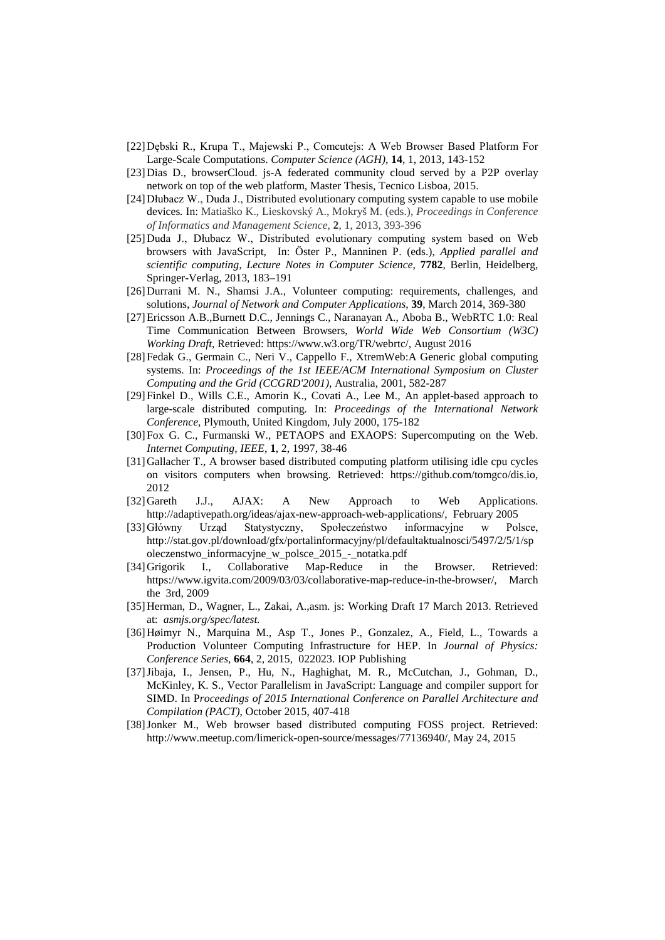visit a web page, unwittingly running a client-side code: fetching the fitness tests from server, running them within PushScript engine and sending back results to server, and then after a small delay – asking for new problem to solve. They implemented server-side code mainly in PHP, except Push3 engine which was in  $C_{++}$ .

The third solution, RABC (Riken AJAX Browser Computing) came from Japan [45]. RABC aimed at creating simple environment SETI@Home-like projects. The distinguishing feature of this proposal was the fact that the kernel agent – JS code embedded within a HTML page – was trying to adapt its behavior (requesting tasks, returning the results) to network bandwidth.

The second proposal we know to use the genetic algorithms appeared in 2008 [58]. They used JSON instead of XML, hence the name AGAJAJ(Asynchronous Genetic Algorithm with JavaScript and JSON). AGAJAJ employed one central server. Volunteers visiting the server's page downloaded a code (written JavaScript) which fetched the parameters from the servers, ran several preset number of generation and then sent back the results (best individual according to fitness function) to the server. Server chose the best individual from all workers and sent it back for another round of generation. Eventually clients were shown the best results and were given chance to restart old experiment or start a new one.

The apparent performance problems with JavaScript led to create at least one Flashbased solution, Online Community Grid (OGC) [61]. Adobe Flash speed was comparable to Java applets. OGC envisaged webmasters putting a small flash widget on their sites. Users visiting the site for the first time would be able to choose whether to participate in one of available projects. Because work would be terminated whenever user would leave the site (by closing a tab, surfing to another page or closing the browser) the running processes were checkpointed every few seconds, in order to allow the work to be resumed when user would later return to the page.

We consider the second-generation to end at 2009, with two proof-of-concept implementations, of distributed hashing in [8] and of map-reduce by a blogger and web developer Ilya Grigorik [34]. In Grigorik's prototype worker node first makes a GET request to job-server, and receives an allocated unit of work with redirection to a prepared site containing mostly JavaScript code to execute. This code would contain typical mapreduce functions and then would emit the results back to the server by creating invisible form, filling it with the results, and submitting it.

Second-generation suffered from the JavaScript's lack of support for threads. For example, in [9] authors discussed at length how to re-engineer the programming loops in order for web pages to being responsive. Their solution was a creation of special function, which run only few iterations of the loop and then rescheduled itself for further future execution.

Another problem was poor performance of browser's JavaScript engines. In 2007, JavaScript was between 9.8 to 23.2 times slower (depending on the platform ) than Java code for a simple mathematical task of random numbers generation [45]. Compared to C, the results were even worse: the browser-based JavaScript engine was between 20 to 200 times slower (depending on platform and browser) [44].

Developers also had to fight with JavaScript same-origin policy (where script from some address domain, e.g. put.poznan.pl, for security reason could not visit URLs from different domain, say github.pl – see Section 4.1). Finally, there had not existed standardized, mature and popular solutions for direct browser-to-browser communication, preventing any direct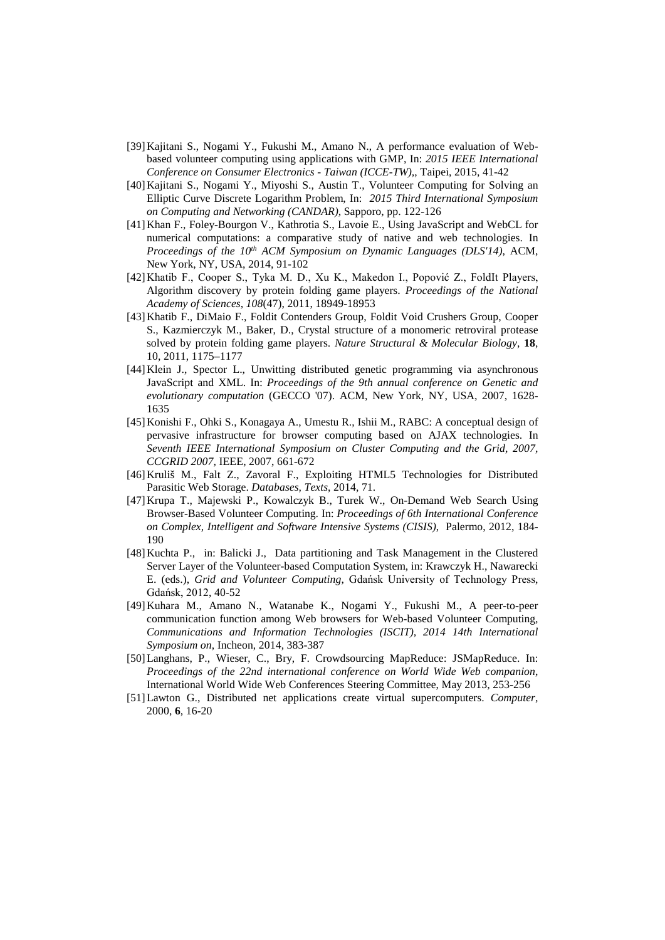- [39]Kajitani S., Nogami Y., Fukushi M., Amano N., A performance evaluation of Webbased volunteer computing using applications with GMP, In: *2015 IEEE International Conference on Consumer Electronics - Taiwan (ICCE-TW),*, Taipei, 2015, 41-42
- [40]Kajitani S., Nogami Y., Miyoshi S., Austin T., Volunteer Computing for Solving an Elliptic Curve Discrete Logarithm Problem, In: *2015 Third International Symposium on Computing and Networking (CANDAR)*, Sapporo, pp. 122-126
- <span id="page-36-6"></span>[41]Khan F., Foley-Bourgon V., Kathrotia S., Lavoie E., Using JavaScript and WebCL for numerical computations: a comparative study of native and web technologies. In *Proceedings of the 10th ACM Symposium on Dynamic Languages (DLS'14)*, ACM, New York, NY, USA, 2014, 91-102
- <span id="page-36-8"></span>[42]Khatib F., Cooper S., Tyka M. D., Xu K., Makedon I., Popović Z., FoldIt Players, Algorithm discovery by protein folding game players. *Proceedings of the National Academy of Sciences*, *108*(47), 2011, 18949-18953
- <span id="page-36-7"></span>[43]Khatib F., DiMaio F., Foldit Contenders Group, Foldit Void Crushers Group, Cooper S., Kazmierczyk M., Baker, D., Crystal structure of a monomeric retroviral protease solved by protein folding game players. *Nature Structural & Molecular Biology*, **18**, 10, 2011, 1175–1177
- <span id="page-36-0"></span>[44]Klein J., Spector L., Unwitting distributed genetic programming via asynchronous JavaScript and XML. In: *Proceedings of the 9th annual conference on Genetic and evolutionary computation* (GECCO '07). ACM, New York, NY, USA, 2007, 1628- 1635
- <span id="page-36-3"></span>[45]Konishi F., Ohki S., Konagaya A., Umestu R., Ishii M., RABC: A conceptual design of pervasive infrastructure for browser computing based on AJAX technologies. In *Seventh IEEE International Symposium on Cluster Computing and the Grid, 2007, CCGRID 2007,* IEEE, 2007, 661-672
- [46]Kruliš M., Falt Z., Zavoral F., Exploiting HTML5 Technologies for Distributed Parasitic Web Storage. *Databases, Texts*, 2014, 71.
- <span id="page-36-2"></span>[47]Krupa T., Majewski P., Kowalczyk B., Turek W., On-Demand Web Search Using Browser-Based Volunteer Computing. In: *Proceedings of 6th International Conference on Complex, Intelligent and Software Intensive Systems (CISIS)*, Palermo, 2012, 184- 190
- <span id="page-36-5"></span>[48]Kuchta P., in: Balicki J., Data partitioning and Task Management in the Clustered Server Layer of the Volunteer-based Computation System, in: Krawczyk H., Nawarecki E. (eds.), *Grid and Volunteer Computing*, Gdańsk University of Technology Press, Gdańsk, 2012, 40-52
- <span id="page-36-9"></span>[49]Kuhara M., Amano N., Watanabe K., Nogami Y., Fukushi M., A peer-to-peer communication function among Web browsers for Web-based Volunteer Computing, *Communications and Information Technologies (ISCIT), 2014 14th International Symposium on*, Incheon, 2014, 383-387
- <span id="page-36-1"></span>[50]Langhans, P., Wieser, C., Bry, F. Crowdsourcing MapReduce: JSMapReduce. In: *Proceedings of the 22nd international conference on World Wide Web companion*, International World Wide Web Conferences Steering Committee, May 2013, 253-256
- <span id="page-36-4"></span>[51]Lawton G., Distributed net applications create virtual supercomputers. *Computer*, 2000, **6**, 16-20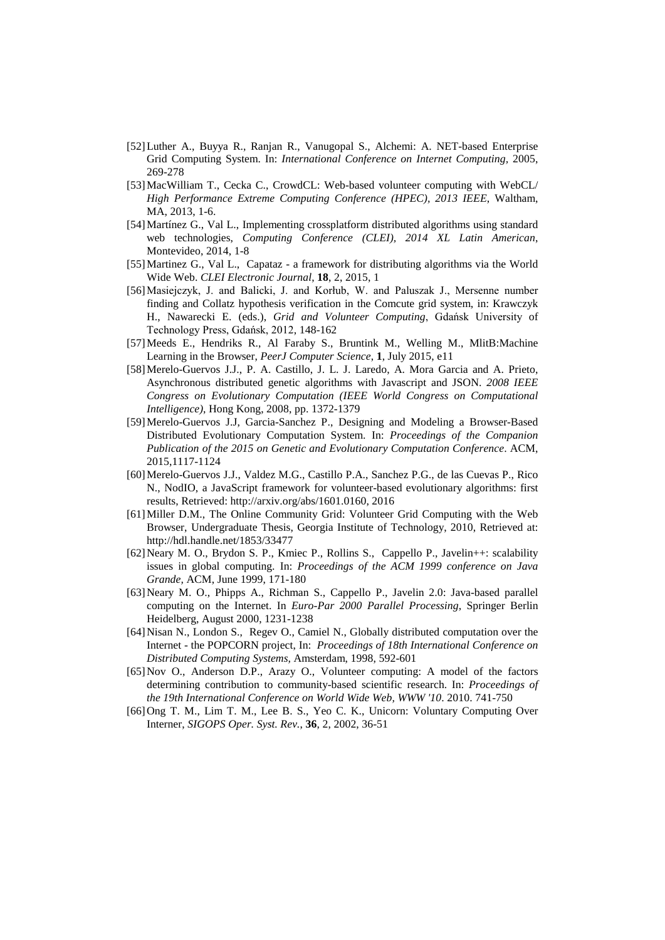#### $3.1.$ The first generation: Dead applets society

In the first-generation of browser-based voluntary computing proposals, jobs were implemented as Java applets (called "distriblets" in [29] and "computelets" in [64]. Typically, the applications were listed at a website. User had to choose which computation to run, which usually required him or her to click on the link and download an applet (e.g. [6][7][29]. The applets either contained the necessary input data or connected to a server requesting work (possibly using UDP instead of HTTP as in DAMPP [77]). After finishing the work, the applet would send back the results and ask for another task to execute. Some solutions allowed offline computation: in [29] and [16] a user could download applet, disconnect, and when later he or she would reconnect; the applet would send back the computed results.

To the best of our knowledge, the first implementation of the idea was Charlotte [7], appearing in 1996. The applications had to be written especially for Charlotte and had limited scalability (as its intended use was limited to the authors' home university). Charlotte provided Distributed Shared Memory abstraction, via wrapper classes of common types and explicit "set" and "get" function calls. Programs had to be registered at the project's website. User visiting the site could click one of the listed URLs, loading and executing "worker" applets. In addition, a standalone Java program**smanager**, resided on a web server's site, one for each distributed application. The web was used only for coordination between clients and job creators. Charlotte programs could indirectly communicate via managers In their followup work  $\lceil 6 \rceil$  they described a Knitting Factory directory service, implemented as JavaScript-enriched HTML page. JavaScript constructed new URL, with search state passed as a part of the created URL, and instructed the browser to follow the URL. Sear ching took place solely on users' browsers.

We will now describe three first-generation solutions in more detail. Two of them were chosen because they are the most known in the literature and may be considered the early paragons of browser-based solution: Javelin [16] and Bayanihan [68] In addition, we decided to discuss POPCORN [64] because of its interesting economy-based interaction between job owners and worker nodes.

**Javelin** is a prototype implementation of the SuperWeb architecture [2]. The architecture consists from brokers, hosts and clients and, in general, does notdepend upon Java/browser combination. Client create Java programs, applets, which they then register at **broker** Applets belonging to the same application could communicate via broker. Programs are not sent to broker; only their URL addresses are sent. Dung registration clients estimate how much resources will be used by their tasks.

**Hosts** (i.e. worker nodes) were the machines willing to provide their resources (CPU power, storage, memory) to clients. Hosts had to register at brokers. Hosts could specify when their resources may be used and what percentage of a given resource would be available for use. Their SuperWeb architecture demanded the hosts to provide a sandboxed environment in which tasks would be safely executed. This was their primary motiva tion for choosing applets and browsers, as they obviously provide the required safe environment.

Brokers coordinated between clients and hosts. They ran accounting, giving credits to users. Those credits were envisaged to be later exchanged for "cyber morey, access to software licenses, cheap internet access or free cpu time". When host registered at broker, it received URL of jobs submitted by clients. Host downloaded an applet from a specified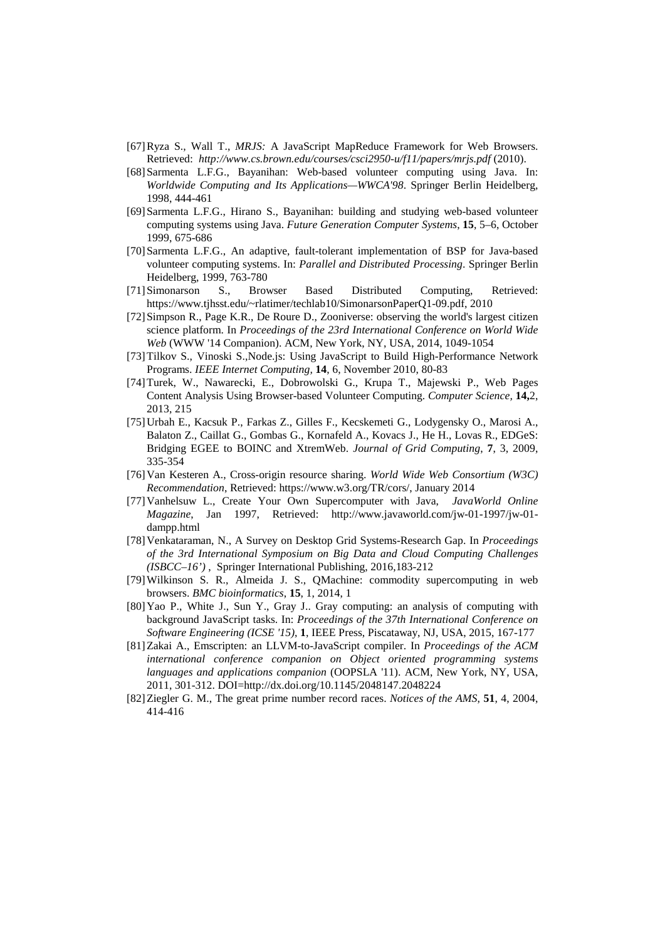- <span id="page-38-3"></span>[67]Ryza S., Wall T., *MRJS:* A JavaScript MapReduce Framework for Web Browsers. Retrieved: http://www.cs.brown.edu/courses/csci2950-u/f11/papers/mrjs.pdf (2010).
- <span id="page-38-4"></span>[68]Sarmenta L.F.G., Bayanihan: Web-based volunteer computing using Java. In: *Worldwide Computing and Its Applications—WWCA'98*. Springer Berlin Heidelberg, 1998, 444-461
- <span id="page-38-7"></span>[69]Sarmenta L.F.G., Hirano S., Bayanihan: building and studying web-based volunteer computing systems using Java. *Future Generation Computer Systems*, **15**, 5–6, October 1999, 675-686
- <span id="page-38-11"></span>[70] Sarmenta L.F.G., An adaptive, fault-tolerant implementation of BSP for Java-based volunteer computing systems. In: *Parallel and Distributed Processing*. Springer Berlin Heidelberg, 1999, 763-780
- <span id="page-38-6"></span>[71]Simonarson S., Browser Based Distributed Computing, Retrieved: https://www.tjhsst.edu/~rlatimer/techlab10/SimonarsonPaperQ1-09.pdf, 2010
- <span id="page-38-13"></span>[72]Simpson R., Page K.R., De Roure D., Zooniverse: observing the world's largest citizen science platform. In *Proceedings of the 23rd International Conference on World Wide Web* (WWW '14 Companion). ACM, New York, NY, USA, 2014, 1049-1054
- [73]Tilkov S., Vinoski S.,Node.js: Using JavaScript to Build High-Performance Network Programs. *IEEE Internet Computing,* **14**, 6, November 2010, 80-83
- <span id="page-38-9"></span>[74]Turek, W., Nawarecki, E., Dobrowolski G., Krupa T., Majewski P., Web Pages Content Analysis Using Browser-based Volunteer Computing. *Computer Science,* **14,**2, 2013, 215
- <span id="page-38-0"></span>[75]Urbah E., Kacsuk P., Farkas Z., Gilles F., Kecskemeti G., Lodygensky O., Marosi A., Balaton Z., Caillat G., Gombas G., Kornafeld A., Kovacs J., He H., Lovas R., EDGeS: Bridging EGEE to BOINC and XtremWeb. *Journal of Grid Computing*, **7**, 3, 2009, 335-354
- <span id="page-38-8"></span>[76]Van Kesteren A., Cross-origin resource sharing. *World Wide Web Consortium (W3C) Recommendation*, Retrieved: [https://www.w3.org/TR/cors/,](https://www.w3.org/TR/cors/) January 2014
- <span id="page-38-5"></span>[77]Vanhelsuw L., Create Your Own Supercomputer with Java, *JavaWorld Online Magazine*, Jan 1997, Retrieved: [http://www.javaworld.com/jw-01-1997/jw-01](http://www.javaworld.com/jw-01-1997/jw-01-dampp.html) [dampp.html](http://www.javaworld.com/jw-01-1997/jw-01-dampp.html)
- [78]Venkataraman, N., A Survey on Desktop Grid Systems-Research Gap. In *Proceedings of the 3rd International Symposium on Big Data and Cloud Computing Challenges (ISBCC–16')* , Springer International Publishing, 2016,183-212
- <span id="page-38-1"></span>[79]Wilkinson S. R., Almeida J. S., QMachine: commodity supercomputing in web browsers. *BMC bioinformatics*, **15**, 1, 2014, 1
- <span id="page-38-2"></span>[80]Yao P., White J., Sun Y., Gray J.. Gray computing: an analysis of computing with background JavaScript tasks. In: *Proceedings of the 37th International Conference on Software Engineering (ICSE '15)*, **1**, IEEE Press, Piscataway, NJ, USA, 2015, 167-177
- <span id="page-38-10"></span>[81]Zakai A., Emscripten: an LLVM-to-JavaScript compiler. In *Proceedings of the ACM international conference companion on Object oriented programming systems languages and applications companion* (OOPSLA '11). ACM, New York, NY, USA, 2011, 301-312. DOI=http://dx.doi.org/10.1145/2048147.2048224
- <span id="page-38-12"></span>[82]Ziegler G. M., The great prime number record races. *Notices of the AMS*, **51**, 4, 2004, 414-416